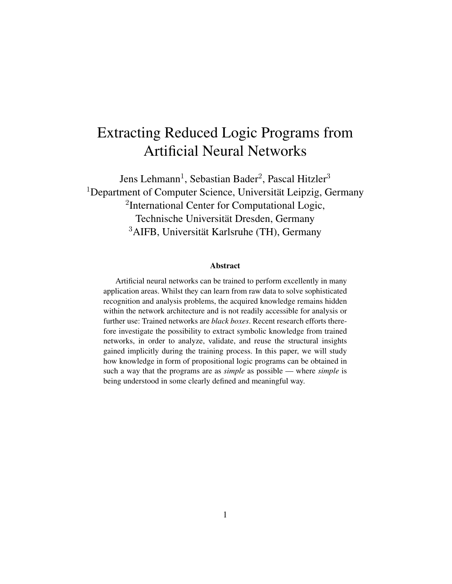# Extracting Reduced Logic Programs from Artificial Neural Networks

Jens Lehmann<sup>1</sup>, Sebastian Bader<sup>2</sup>, Pascal Hitzler<sup>3</sup> <sup>1</sup>Department of Computer Science, Universität Leipzig, Germany <sup>2</sup>International Center for Computational Logic, Technische Universität Dresden, Germany  $3$ AIFB, Universität Karlsruhe (TH), Germany

#### Abstract

Artificial neural networks can be trained to perform excellently in many application areas. Whilst they can learn from raw data to solve sophisticated recognition and analysis problems, the acquired knowledge remains hidden within the network architecture and is not readily accessible for analysis or further use: Trained networks are *black boxes*. Recent research efforts therefore investigate the possibility to extract symbolic knowledge from trained networks, in order to analyze, validate, and reuse the structural insights gained implicitly during the training process. In this paper, we will study how knowledge in form of propositional logic programs can be obtained in such a way that the programs are as *simple* as possible — where *simple* is being understood in some clearly defined and meaningful way.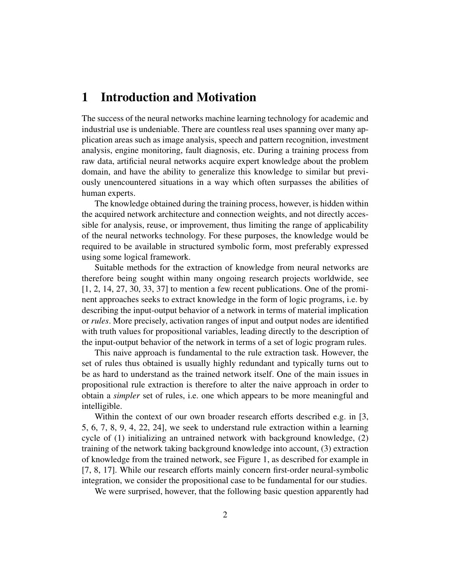### 1 Introduction and Motivation

The success of the neural networks machine learning technology for academic and industrial use is undeniable. There are countless real uses spanning over many application areas such as image analysis, speech and pattern recognition, investment analysis, engine monitoring, fault diagnosis, etc. During a training process from raw data, artificial neural networks acquire expert knowledge about the problem domain, and have the ability to generalize this knowledge to similar but previously unencountered situations in a way which often surpasses the abilities of human experts.

The knowledge obtained during the training process, however, is hidden within the acquired network architecture and connection weights, and not directly accessible for analysis, reuse, or improvement, thus limiting the range of applicability of the neural networks technology. For these purposes, the knowledge would be required to be available in structured symbolic form, most preferably expressed using some logical framework.

Suitable methods for the extraction of knowledge from neural networks are therefore being sought within many ongoing research projects worldwide, see [1, 2, 14, 27, 30, 33, 37] to mention a few recent publications. One of the prominent approaches seeks to extract knowledge in the form of logic programs, i.e. by describing the input-output behavior of a network in terms of material implication or *rules*. More precisely, activation ranges of input and output nodes are identified with truth values for propositional variables, leading directly to the description of the input-output behavior of the network in terms of a set of logic program rules.

This naive approach is fundamental to the rule extraction task. However, the set of rules thus obtained is usually highly redundant and typically turns out to be as hard to understand as the trained network itself. One of the main issues in propositional rule extraction is therefore to alter the naive approach in order to obtain a *simpler* set of rules, i.e. one which appears to be more meaningful and intelligible.

Within the context of our own broader research efforts described e.g. in [3, 5, 6, 7, 8, 9, 4, 22, 24], we seek to understand rule extraction within a learning cycle of (1) initializing an untrained network with background knowledge, (2) training of the network taking background knowledge into account, (3) extraction of knowledge from the trained network, see Figure 1, as described for example in [7, 8, 17]. While our research efforts mainly concern first-order neural-symbolic integration, we consider the propositional case to be fundamental for our studies.

We were surprised, however, that the following basic question apparently had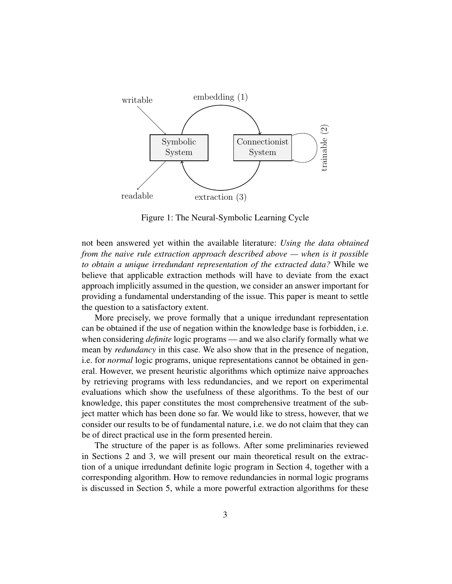

Figure 1: The Neural-Symbolic Learning Cycle

not been answered yet within the available literature: *Using the data obtained from the naive rule extraction approach described above — when is it possible to obtain a unique irredundant representation of the extracted data?* While we believe that applicable extraction methods will have to deviate from the exact approach implicitly assumed in the question, we consider an answer important for providing a fundamental understanding of the issue. This paper is meant to settle the question to a satisfactory extent.

More precisely, we prove formally that a unique irredundant representation can be obtained if the use of negation within the knowledge base is forbidden, i.e. when considering *definite* logic programs — and we also clarify formally what we mean by *redundancy* in this case. We also show that in the presence of negation, i.e. for *normal* logic programs, unique representations cannot be obtained in general. However, we present heuristic algorithms which optimize naive approaches by retrieving programs with less redundancies, and we report on experimental evaluations which show the usefulness of these algorithms. To the best of our knowledge, this paper constitutes the most comprehensive treatment of the subject matter which has been done so far. We would like to stress, however, that we consider our results to be of fundamental nature, i.e. we do not claim that they can be of direct practical use in the form presented herein.

The structure of the paper is as follows. After some preliminaries reviewed in Sections 2 and 3, we will present our main theoretical result on the extraction of a unique irredundant definite logic program in Section 4, together with a corresponding algorithm. How to remove redundancies in normal logic programs is discussed in Section 5, while a more powerful extraction algorithms for these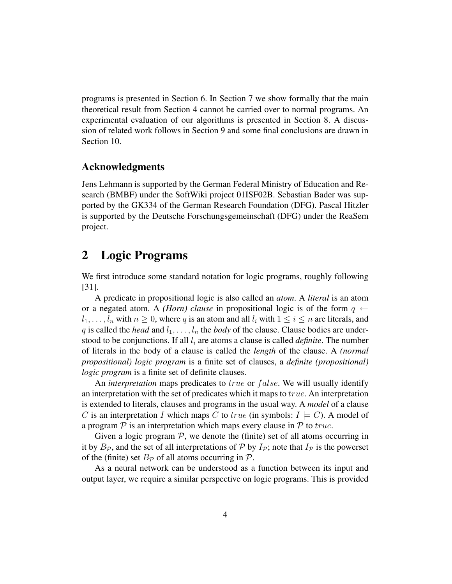programs is presented in Section 6. In Section 7 we show formally that the main theoretical result from Section 4 cannot be carried over to normal programs. An experimental evaluation of our algorithms is presented in Section 8. A discussion of related work follows in Section 9 and some final conclusions are drawn in Section 10.

### Acknowledgments

Jens Lehmann is supported by the German Federal Ministry of Education and Research (BMBF) under the SoftWiki project 01ISF02B. Sebastian Bader was supported by the GK334 of the German Research Foundation (DFG). Pascal Hitzler is supported by the Deutsche Forschungsgemeinschaft (DFG) under the ReaSem project.

### 2 Logic Programs

We first introduce some standard notation for logic programs, roughly following [31].

A predicate in propositional logic is also called an *atom*. A *literal* is an atom or a negated atom. A *(Horn) clause* in propositional logic is of the form  $q \leftarrow$  $l_1, \ldots, l_n$  with  $n \geq 0$ , where q is an atom and all  $l_i$  with  $1 \leq i \leq n$  are literals, and q is called the *head* and  $l_1, \ldots, l_n$  the *body* of the clause. Clause bodies are understood to be conjunctions. If all  $l_i$  are atoms a clause is called *definite*. The number of literals in the body of a clause is called the *length* of the clause. A *(normal propositional) logic program* is a finite set of clauses, a *definite (propositional) logic program* is a finite set of definite clauses.

An *interpretation* maps predicates to *true* or *false*. We will usually identify an interpretation with the set of predicates which it maps to true. An interpretation is extended to literals, clauses and programs in the usual way. A *model* of a clause C is an interpretation I which maps C to true (in symbols:  $I \models C$ ). A model of a program  $P$  is an interpretation which maps every clause in  $P$  to true.

Given a logic program  $P$ , we denote the (finite) set of all atoms occurring in it by  $B_{\mathcal{P}}$ , and the set of all interpretations of  $\mathcal{P}$  by  $I_{\mathcal{P}}$ ; note that  $I_{\mathcal{P}}$  is the powerset of the (finite) set  $B_{\mathcal{P}}$  of all atoms occurring in  $\mathcal{P}$ .

As a neural network can be understood as a function between its input and output layer, we require a similar perspective on logic programs. This is provided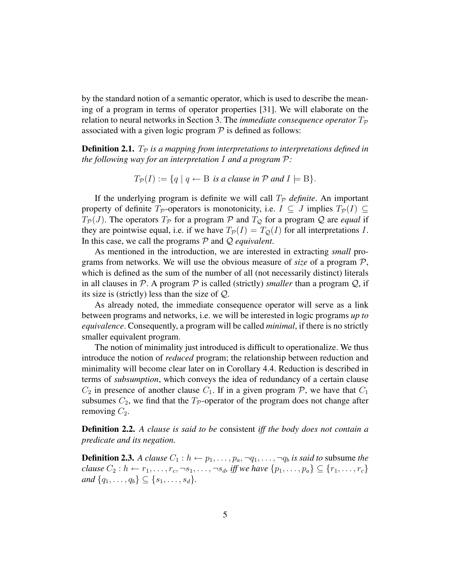by the standard notion of a semantic operator, which is used to describe the meaning of a program in terms of operator properties [31]. We will elaborate on the relation to neural networks in Section 3. The *immediate consequence operator*  $T_p$ associated with a given logic program  $P$  is defined as follows:

**Definition 2.1.**  $T_p$  *is a mapping from interpretations to interpretations defined in the following way for an interpretation* I *and a program* P*:*

$$
T_{\mathcal{P}}(I) := \{ q \mid q \leftarrow B \text{ is a clause in } \mathcal{P} \text{ and } I \models B \}.
$$

If the underlying program is definite we will call  $T_p$  *definite*. An important property of definite  $T_P$ -operators is monotonicity, i.e.  $I \subseteq J$  implies  $T_P(I) \subseteq I$  $T_P(J)$ . The operators  $T_P$  for a program  $P$  and  $T_Q$  for a program  $Q$  are *equal* if they are pointwise equal, i.e. if we have  $T_P(I) = T_Q(I)$  for all interpretations I. In this case, we call the programs P and Q *equivalent*.

As mentioned in the introduction, we are interested in extracting *small* programs from networks. We will use the obvious measure of *size* of a program P, which is defined as the sum of the number of all (not necessarily distinct) literals in all clauses in  $P$ . A program  $P$  is called (strictly) *smaller* than a program  $Q$ , if its size is (strictly) less than the size of Q.

As already noted, the immediate consequence operator will serve as a link between programs and networks, i.e. we will be interested in logic programs *up to equivalence*. Consequently, a program will be called *minimal*, if there is no strictly smaller equivalent program.

The notion of minimality just introduced is difficult to operationalize. We thus introduce the notion of *reduced* program; the relationship between reduction and minimality will become clear later on in Corollary 4.4. Reduction is described in terms of *subsumption*, which conveys the idea of redundancy of a certain clause  $C_2$  in presence of another clause  $C_1$ . If in a given program P, we have that  $C_1$ subsumes  $C_2$ , we find that the  $T_p$ -operator of the program does not change after removing  $C_2$ .

Definition 2.2. *A clause is said to be* consistent *iff the body does not contain a predicate and its negation.*

**Definition 2.3.** *A clause*  $C_1 : h \leftarrow p_1, \ldots, p_a, \neg q_1, \ldots, \neg q_b$  *is said to subsume the clause*  $C_2 : h \leftarrow r_1, \ldots, r_c, \neg s_1, \ldots, \neg s_d$ , *iff we have*  $\{p_1, \ldots, p_a\} \subseteq \{r_1, \ldots, r_c\}$ *and*  $\{q_1, \ldots, q_b\} \subseteq \{s_1, \ldots, s_d\}.$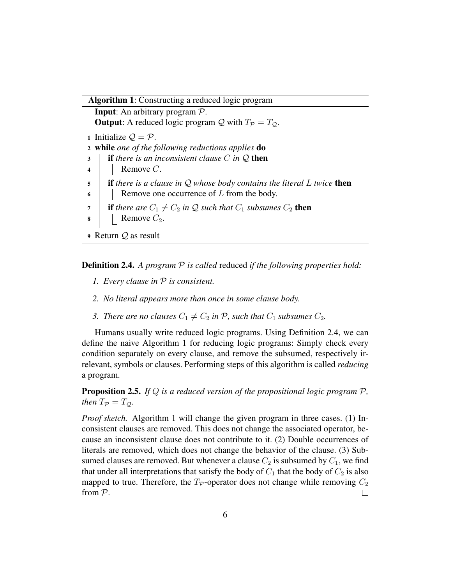Algorithm 1: Constructing a reduced logic program

Input: An arbitrary program P. **Output:** A reduced logic program Q with  $T_p = T_Q$ . 1 Initialize  $\mathcal{Q} = \mathcal{P}$ . <sup>2</sup> while *one of the following reductions applies* do <sup>3</sup> if *there is an inconsistent clause* C *in* Q then 4 | Remove  $C$ . <sup>5</sup> if *there is a clause in* Q *whose body contains the literal* L *twice* then  $\mathfrak{g}$  | Remove one occurrence of L from the body.  $7$  **if** there are  $C_1 \neq C_2$  in Q such that  $C_1$  subsumes  $C_2$  then  $\mathbf{8}$  | Remove  $C_2$ . <sup>9</sup> Return Q as result

Definition 2.4. *A program* P *is called* reduced *if the following properties hold:*

- *1. Every clause in* P *is consistent.*
- *2. No literal appears more than once in some clause body.*
- *3. There are no clauses*  $C_1 \neq C_2$  *in* P, *such that*  $C_1$  *subsumes*  $C_2$ *.*

Humans usually write reduced logic programs. Using Definition 2.4, we can define the naive Algorithm 1 for reducing logic programs: Simply check every condition separately on every clause, and remove the subsumed, respectively irrelevant, symbols or clauses. Performing steps of this algorithm is called *reducing* a program.

Proposition 2.5. *If* Q *is a reduced version of the propositional logic program* P*, then*  $T_P = T_Q$ .

*Proof sketch.* Algorithm 1 will change the given program in three cases. (1) Inconsistent clauses are removed. This does not change the associated operator, because an inconsistent clause does not contribute to it. (2) Double occurrences of literals are removed, which does not change the behavior of the clause. (3) Subsumed clauses are removed. But whenever a clause  $C_2$  is subsumed by  $C_1$ , we find that under all interpretations that satisfy the body of  $C_1$  that the body of  $C_2$  is also mapped to true. Therefore, the  $T_p$ -operator does not change while removing  $C_2$ from P.  $\Box$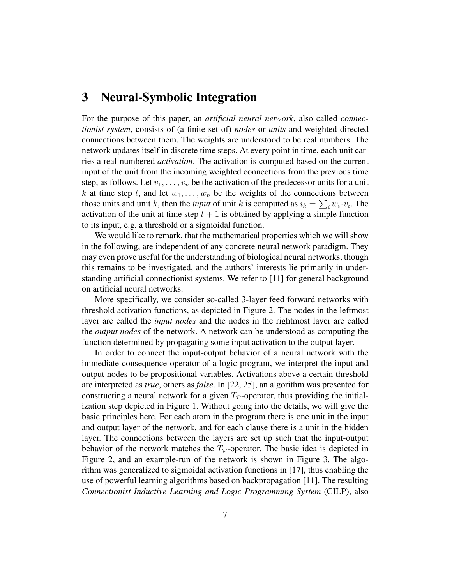### 3 Neural-Symbolic Integration

For the purpose of this paper, an *artificial neural network*, also called *connectionist system*, consists of (a finite set of) *nodes* or *units* and weighted directed connections between them. The weights are understood to be real numbers. The network updates itself in discrete time steps. At every point in time, each unit carries a real-numbered *activation*. The activation is computed based on the current input of the unit from the incoming weighted connections from the previous time step, as follows. Let  $v_1, \ldots, v_n$  be the activation of the predecessor units for a unit k at time step t, and let  $w_1, \ldots, w_n$  be the weights of the connections between those units and unit k, then the *input* of unit k is computed as  $i_k = \sum_i w_i \cdot v_i$ . The activation of the unit at time step  $t + 1$  is obtained by applying a simple function to its input, e.g. a threshold or a sigmoidal function.

We would like to remark, that the mathematical properties which we will show in the following, are independent of any concrete neural network paradigm. They may even prove useful for the understanding of biological neural networks, though this remains to be investigated, and the authors' interests lie primarily in understanding artificial connectionist systems. We refer to [11] for general background on artificial neural networks.

More specifically, we consider so-called 3-layer feed forward networks with threshold activation functions, as depicted in Figure 2. The nodes in the leftmost layer are called the *input nodes* and the nodes in the rightmost layer are called the *output nodes* of the network. A network can be understood as computing the function determined by propagating some input activation to the output layer.

In order to connect the input-output behavior of a neural network with the immediate consequence operator of a logic program, we interpret the input and output nodes to be propositional variables. Activations above a certain threshold are interpreted as *true*, others as *false*. In [22, 25], an algorithm was presented for constructing a neural network for a given  $T_p$ -operator, thus providing the initialization step depicted in Figure 1. Without going into the details, we will give the basic principles here. For each atom in the program there is one unit in the input and output layer of the network, and for each clause there is a unit in the hidden layer. The connections between the layers are set up such that the input-output behavior of the network matches the  $T_p$ -operator. The basic idea is depicted in Figure 2, and an example-run of the network is shown in Figure 3. The algorithm was generalized to sigmoidal activation functions in [17], thus enabling the use of powerful learning algorithms based on backpropagation [11]. The resulting *Connectionist Inductive Learning and Logic Programming System* (CILP), also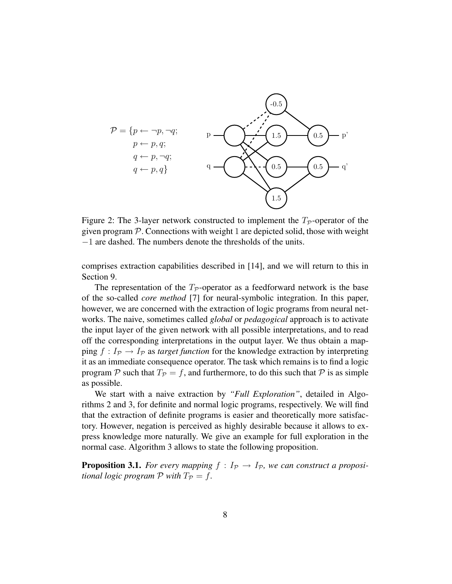

Figure 2: The 3-layer network constructed to implement the  $T_p$ -operator of the given program  $P$ . Connections with weight 1 are depicted solid, those with weight −1 are dashed. The numbers denote the thresholds of the units.

comprises extraction capabilities described in [14], and we will return to this in Section 9.

The representation of the  $T_p$ -operator as a feedforward network is the base of the so-called *core method* [7] for neural-symbolic integration. In this paper, however, we are concerned with the extraction of logic programs from neural networks. The naive, sometimes called *global* or *pedagogical* approach is to activate the input layer of the given network with all possible interpretations, and to read off the corresponding interpretations in the output layer. We thus obtain a mapping  $f: I_{\mathcal{P}} \to I_{\mathcal{P}}$  as *target function* for the knowledge extraction by interpreting it as an immediate consequence operator. The task which remains is to find a logic program  $P$  such that  $T_P = f$ , and furthermore, to do this such that  $P$  is as simple as possible.

We start with a naive extraction by *"Full Exploration"*, detailed in Algorithms 2 and 3, for definite and normal logic programs, respectively. We will find that the extraction of definite programs is easier and theoretically more satisfactory. However, negation is perceived as highly desirable because it allows to express knowledge more naturally. We give an example for full exploration in the normal case. Algorithm 3 allows to state the following proposition.

**Proposition 3.1.** For every mapping  $f: I_{\mathcal{P}} \to I_{\mathcal{P}}$ , we can construct a proposi*tional logic program*  $P$  *with*  $T_P = f$ .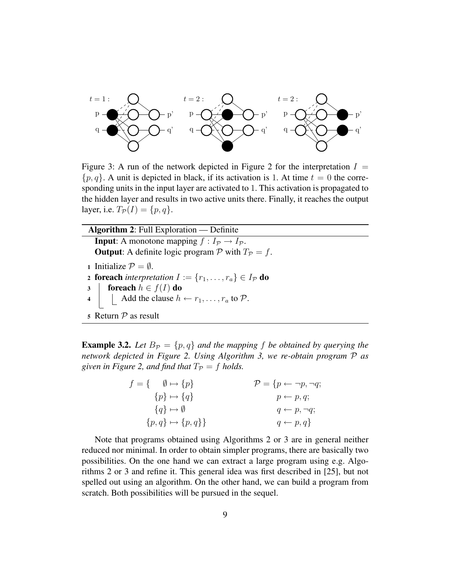

Figure 3: A run of the network depicted in Figure 2 for the interpretation  $I =$  $\{p, q\}$ . A unit is depicted in black, if its activation is 1. At time  $t = 0$  the corresponding units in the input layer are activated to 1. This activation is propagated to the hidden layer and results in two active units there. Finally, it reaches the output layer, i.e.  $T_{\mathcal{P}}(I) = \{p, q\}.$ 

| <b>Algorithm 2:</b> Full Exploration $\sim$ Definite                                                                     |
|--------------------------------------------------------------------------------------------------------------------------|
| <b>Input:</b> A monotone mapping $f: I_{\mathcal{P}} \to I_{\mathcal{P}}$ .                                              |
| <b>Output:</b> A definite logic program P with $T_p = f$ .                                                               |
| 1 Initialize $P = \emptyset$ .                                                                                           |
| <b>2 foreach</b> interpretation $I := \{r_1, \ldots, r_a\} \in I_{\mathcal{P}}$ do                                       |
|                                                                                                                          |
| 3 <b>for each</b> $h \in f(I)$ <b>do</b><br>4 <b>do</b> Add the clause $h \leftarrow r_1, \dots, r_a$ to $\mathcal{P}$ . |
| 5 Return $P$ as result                                                                                                   |

**Example 3.2.** Let  $B_p = \{p, q\}$  and the mapping f be obtained by querying the *network depicted in Figure 2. Using Algorithm 3, we re-obtain program* P *as given in Figure 2, and find that*  $T_P = f$  *holds.* 

| $f = \{ \emptyset \mapsto \{p\} \}$ | $\mathcal{P} = \{p \leftarrow \neg p, \neg q;$ |
|-------------------------------------|------------------------------------------------|
| $\{p\} \mapsto \{q\}$               | $p \leftarrow p, q;$                           |
| $\{q\} \mapsto \emptyset$           | $q \leftarrow p, \neg q;$                      |
| ${p,q}\mapsto {p,q}$                | $q \leftarrow p, q$                            |

Note that programs obtained using Algorithms 2 or 3 are in general neither reduced nor minimal. In order to obtain simpler programs, there are basically two possibilities. On the one hand we can extract a large program using e.g. Algorithms 2 or 3 and refine it. This general idea was first described in [25], but not spelled out using an algorithm. On the other hand, we can build a program from scratch. Both possibilities will be pursued in the sequel.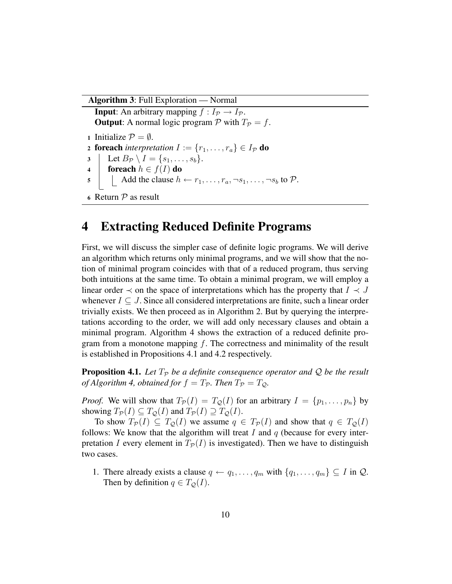Algorithm 3: Full Exploration — Normal

**Input:** An arbitrary mapping  $f : I_p \to I_p$ . **Output:** A normal logic program  $P$  with  $T_P = f$ . 1 Initialize  $P = \emptyset$ . 2 **foreach** *interpretation*  $I := \{r_1, \ldots, r_a\} \in I_{\mathcal{P}}$  **do**  $3 \mid \text{Let } B_{\mathcal{P}} \setminus I = \{s_1, \ldots, s_b\}.$ 4 foreach  $h \in f(I)$  do 5 Add the clause  $h \leftarrow r_1, \ldots, r_a, \neg s_1, \ldots, \neg s_b$  to  $P$ . 6 Return  $P$  as result

### 4 Extracting Reduced Definite Programs

First, we will discuss the simpler case of definite logic programs. We will derive an algorithm which returns only minimal programs, and we will show that the notion of minimal program coincides with that of a reduced program, thus serving both intuitions at the same time. To obtain a minimal program, we will employ a linear order  $\prec$  on the space of interpretations which has the property that  $I \prec J$ whenever  $I \subseteq J$ . Since all considered interpretations are finite, such a linear order trivially exists. We then proceed as in Algorithm 2. But by querying the interpretations according to the order, we will add only necessary clauses and obtain a minimal program. Algorithm 4 shows the extraction of a reduced definite program from a monotone mapping  $f$ . The correctness and minimality of the result is established in Propositions 4.1 and 4.2 respectively.

**Proposition 4.1.** Let  $T_P$  be a definite consequence operator and Q be the result *of Algorithm 4, obtained for*  $f = T_p$ *. Then*  $T_p = T_Q$ *.* 

*Proof.* We will show that  $T_{\mathcal{P}}(I) = T_{\mathcal{Q}}(I)$  for an arbitrary  $I = \{p_1, \ldots, p_n\}$  by showing  $T_{\mathcal{P}}(I) \subseteq T_{\mathcal{Q}}(I)$  and  $T_{\mathcal{P}}(I) \supseteq T_{\mathcal{Q}}(I)$ .

To show  $T_{\mathcal{P}}(I) \subseteq T_{\mathcal{O}}(I)$  we assume  $q \in T_{\mathcal{P}}(I)$  and show that  $q \in T_{\mathcal{O}}(I)$ follows: We know that the algorithm will treat  $I$  and  $q$  (because for every interpretation I every element in  $T_{\mathcal{P}}(I)$  is investigated). Then we have to distinguish two cases.

1. There already exists a clause  $q \leftarrow q_1, \ldots, q_m$  with  $\{q_1, \ldots, q_m\} \subseteq I$  in  $\mathcal{Q}$ . Then by definition  $q \in T_{\mathcal{Q}}(I)$ .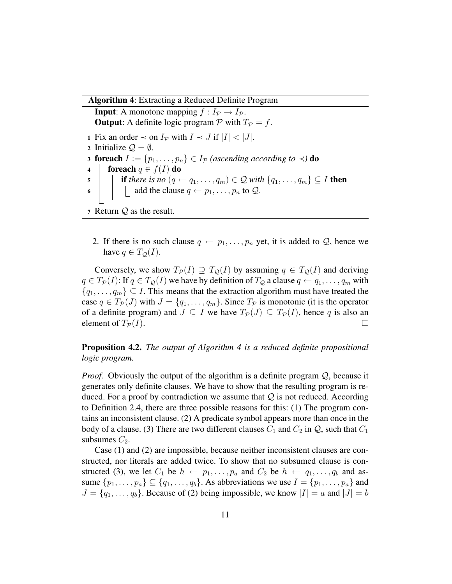#### Algorithm 4: Extracting a Reduced Definite Program

**Input:** A monotone mapping  $f : I_p \to I_p$ . **Output:** A definite logic program P with  $T_p = f$ . 1 Fix an order  $\prec$  on  $I_P$  with  $I \prec J$  if  $|I| \prec |J|$ . 2 Initialize  $\mathcal{Q} = \emptyset$ . 3 **foreach**  $I := \{p_1, \ldots, p_n\} \in I_{\mathcal{P}}$  *(ascending according to*  $\prec$ *)* **do** 4 foreach  $q \in f(I)$  do 5 **if there is no**  $(q \leftarrow q_1, \ldots, q_m) \in \mathcal{Q}$  with  $\{q_1, \ldots, q_m\} \subseteq I$  then 6 add the clause  $q \leftarrow p_1, \ldots, p_n$  to  $\mathcal{Q}$ . 7 Return  $Q$  as the result.

2. If there is no such clause  $q \leftarrow p_1, \ldots, p_n$  yet, it is added to Q, hence we have  $q \in T_{\mathcal{O}}(I)$ .

Conversely, we show  $T_{\mathcal{P}}(I) \supseteq T_{\mathcal{Q}}(I)$  by assuming  $q \in T_{\mathcal{Q}}(I)$  and deriving  $q \in T_{\mathcal{P}}(I)$ : If  $q \in T_{\mathcal{Q}}(I)$  we have by definition of  $T_{\mathcal{Q}}$  a clause  $q \leftarrow q_1, \ldots, q_m$  with  $\{q_1, \ldots, q_m\} \subseteq I$ . This means that the extraction algorithm must have treated the case  $q \in T_{\mathcal{P}}(J)$  with  $J = \{q_1, \ldots, q_m\}$ . Since  $T_{\mathcal{P}}$  is monotonic (it is the operator of a definite program) and  $J \subseteq I$  we have  $T_{\mathcal{P}}(J) \subseteq T_{\mathcal{P}}(I)$ , hence q is also an element of  $T_{\mathcal{P}}(I)$ .  $\Box$ 

### Proposition 4.2. *The output of Algorithm 4 is a reduced definite propositional logic program.*

*Proof.* Obviously the output of the algorithm is a definite program Q, because it generates only definite clauses. We have to show that the resulting program is reduced. For a proof by contradiction we assume that  $\mathcal Q$  is not reduced. According to Definition 2.4, there are three possible reasons for this: (1) The program contains an inconsistent clause. (2) A predicate symbol appears more than once in the body of a clause. (3) There are two different clauses  $C_1$  and  $C_2$  in  $\mathcal{Q}$ , such that  $C_1$ subsumes  $C_2$ .

Case (1) and (2) are impossible, because neither inconsistent clauses are constructed, nor literals are added twice. To show that no subsumed clause is constructed (3), we let  $C_1$  be  $h \leftarrow p_1, \ldots, p_a$  and  $C_2$  be  $h \leftarrow q_1, \ldots, q_b$  and assume  $\{p_1, \ldots, p_a\} \subseteq \{q_1, \ldots, q_b\}$ . As abbreviations we use  $I = \{p_1, \ldots, p_a\}$  and  $J = \{q_1, \ldots, q_b\}$ . Because of (2) being impossible, we know  $|I| = a$  and  $|J| = b$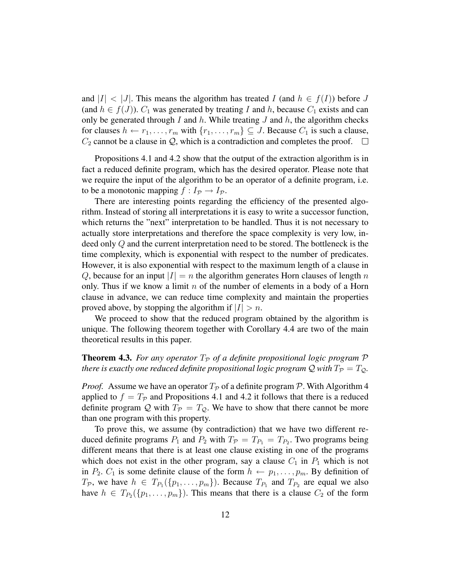and  $|I| < |J|$ . This means the algorithm has treated I (and  $h \in f(I)$ ) before J (and  $h \in f(J)$ ).  $C_1$  was generated by treating I and h, because  $C_1$  exists and can only be generated through I and  $h$ . While treating  $J$  and  $h$ , the algorithm checks for clauses  $h \leftarrow r_1, \ldots, r_m$  with  $\{r_1, \ldots, r_m\} \subseteq J$ . Because  $C_1$  is such a clause,  $C_2$  cannot be a clause in  $\mathcal{Q}$ , which is a contradiction and completes the proof.  $\Box$ 

Propositions 4.1 and 4.2 show that the output of the extraction algorithm is in fact a reduced definite program, which has the desired operator. Please note that we require the input of the algorithm to be an operator of a definite program, i.e. to be a monotonic mapping  $f : I_p \to I_p$ .

There are interesting points regarding the efficiency of the presented algorithm. Instead of storing all interpretations it is easy to write a successor function, which returns the "next" interpretation to be handled. Thus it is not necessary to actually store interpretations and therefore the space complexity is very low, indeed only Q and the current interpretation need to be stored. The bottleneck is the time complexity, which is exponential with respect to the number of predicates. However, it is also exponential with respect to the maximum length of a clause in Q, because for an input  $|I| = n$  the algorithm generates Horn clauses of length n only. Thus if we know a limit n of the number of elements in a body of a Horn clause in advance, we can reduce time complexity and maintain the properties proved above, by stopping the algorithm if  $|I| > n$ .

We proceed to show that the reduced program obtained by the algorithm is unique. The following theorem together with Corollary 4.4 are two of the main theoretical results in this paper.

**Theorem 4.3.** For any operator  $T_p$  of a definite propositional logic program  $\mathcal P$ *there is exactly one reduced definite propositional logic program*  $Q$  *with*  $T_P = T_Q$ .

*Proof.* Assume we have an operator  $T_p$  of a definite program P. With Algorithm 4 applied to  $f = T_p$  and Propositions 4.1 and 4.2 it follows that there is a reduced definite program Q with  $T_p = T_Q$ . We have to show that there cannot be more than one program with this property.

To prove this, we assume (by contradiction) that we have two different reduced definite programs  $P_1$  and  $P_2$  with  $T_P = T_{P_1} = T_{P_2}$ . Two programs being different means that there is at least one clause existing in one of the programs which does not exist in the other program, say a clause  $C_1$  in  $P_1$  which is not in  $P_2$ .  $C_1$  is some definite clause of the form  $h \leftarrow p_1, \ldots, p_m$ . By definition of  $T_{\mathcal{P}}$ , we have  $h \in T_{P_1}(\{p_1, \ldots, p_m\})$ . Because  $T_{P_1}$  and  $T_{P_2}$  are equal we also have  $h \in T_{P_2}(\lbrace p_1, \ldots, p_m \rbrace)$ . This means that there is a clause  $C_2$  of the form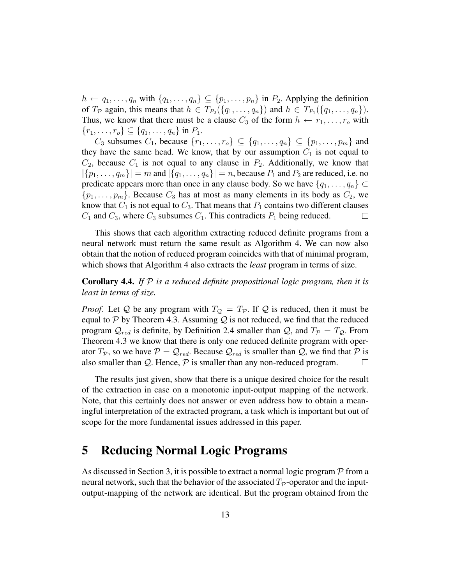$h \leftarrow q_1, \ldots, q_n$  with  $\{q_1, \ldots, q_n\} \subseteq \{p_1, \ldots, p_n\}$  in  $P_2$ . Applying the definition of  $T_P$  again, this means that  $h \in T_{P_2}(\{q_1, \ldots, q_n\})$  and  $h \in T_{P_1}(\{q_1, \ldots, q_n\})$ . Thus, we know that there must be a clause  $C_3$  of the form  $h \leftarrow r_1, \ldots, r_o$  with  ${r_1, \ldots, r_o} \subseteq {q_1, \ldots, q_n}$  in  $P_1$ .

 $C_3$  subsumes  $C_1$ , because  $\{r_1, \ldots, r_o\} \subseteq \{q_1, \ldots, q_n\} \subseteq \{p_1, \ldots, p_m\}$  and they have the same head. We know, that by our assumption  $C_1$  is not equal to  $C_2$ , because  $C_1$  is not equal to any clause in  $P_2$ . Additionally, we know that  $|\{p_1,\ldots,q_m\}| = m$  and  $|\{q_1,\ldots,q_n\}| = n$ , because  $P_1$  and  $P_2$  are reduced, i.e. no predicate appears more than once in any clause body. So we have  $\{q_1, \ldots, q_n\} \subset$  $\{p_1, \ldots, p_m\}$ . Because  $C_3$  has at most as many elements in its body as  $C_2$ , we know that  $C_1$  is not equal to  $C_3$ . That means that  $P_1$  contains two different clauses  $C_1$  and  $C_3$ , where  $C_3$  subsumes  $C_1$ . This contradicts  $P_1$  being reduced.  $\Box$ 

This shows that each algorithm extracting reduced definite programs from a neural network must return the same result as Algorithm 4. We can now also obtain that the notion of reduced program coincides with that of minimal program, which shows that Algorithm 4 also extracts the *least* program in terms of size.

Corollary 4.4. *If* P *is a reduced definite propositional logic program, then it is least in terms of size.*

*Proof.* Let Q be any program with  $T_Q = T_P$ . If Q is reduced, then it must be equal to  $P$  by Theorem 4.3. Assuming  $Q$  is not reduced, we find that the reduced program  $\mathcal{Q}_{red}$  is definite, by Definition 2.4 smaller than  $\mathcal{Q}$ , and  $T_{\mathcal{P}} = T_{\mathcal{Q}}$ . From Theorem 4.3 we know that there is only one reduced definite program with operator  $T_p$ , so we have  $P = Q_{red}$ . Because  $Q_{red}$  is smaller than Q, we find that P is also smaller than  $Q$ . Hence,  $P$  is smaller than any non-reduced program.  $\Box$ 

The results just given, show that there is a unique desired choice for the result of the extraction in case on a monotonic input-output mapping of the network. Note, that this certainly does not answer or even address how to obtain a meaningful interpretation of the extracted program, a task which is important but out of scope for the more fundamental issues addressed in this paper.

### 5 Reducing Normal Logic Programs

As discussed in Section 3, it is possible to extract a normal logic program  $P$  from a neural network, such that the behavior of the associated  $T_p$ -operator and the inputoutput-mapping of the network are identical. But the program obtained from the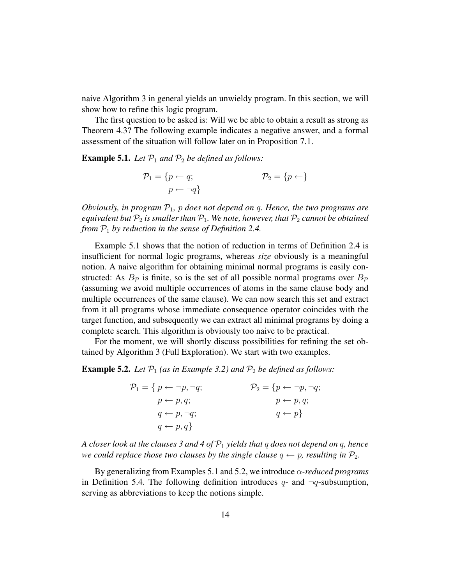naive Algorithm 3 in general yields an unwieldy program. In this section, we will show how to refine this logic program.

The first question to be asked is: Will we be able to obtain a result as strong as Theorem 4.3? The following example indicates a negative answer, and a formal assessment of the situation will follow later on in Proposition 7.1.

**Example 5.1.** *Let*  $P_1$  *and*  $P_2$  *be defined as follows:* 

$$
\mathcal{P}_1 = \{p \leftarrow q; \qquad \qquad \mathcal{P}_2 = \{p \leftarrow\} \newline p \leftarrow \neg q\}
$$

*Obviously, in program* P1*,* p *does not depend on* q*. Hence, the two programs are equivalent but*  $P_2$  *is smaller than*  $P_1$ *. We note, however, that*  $P_2$  *cannot be obtained from* P<sup>1</sup> *by reduction in the sense of Definition 2.4.*

Example 5.1 shows that the notion of reduction in terms of Definition 2.4 is insufficient for normal logic programs, whereas *size* obviously is a meaningful notion. A naive algorithm for obtaining minimal normal programs is easily constructed: As  $B_{\mathcal{P}}$  is finite, so is the set of all possible normal programs over  $B_{\mathcal{P}}$ (assuming we avoid multiple occurrences of atoms in the same clause body and multiple occurrences of the same clause). We can now search this set and extract from it all programs whose immediate consequence operator coincides with the target function, and subsequently we can extract all minimal programs by doing a complete search. This algorithm is obviously too naive to be practical.

For the moment, we will shortly discuss possibilities for refining the set obtained by Algorithm 3 (Full Exploration). We start with two examples.

**Example 5.2.** Let  $P_1$  (as in Example 3.2) and  $P_2$  be defined as follows:

| $\mathcal{P}_1 = \{ p \leftarrow \neg p, \neg q;$ | $\mathcal{P}_2 = \{p \leftarrow \neg p, \neg q;$ |
|---------------------------------------------------|--------------------------------------------------|
| $p \leftarrow p, q;$                              | $p \leftarrow p, q;$                             |
| $q \leftarrow p, \neg q;$                         | $q \leftarrow p$                                 |
| $q \leftarrow p, q$                               |                                                  |

*A closer look at the clauses 3 and 4 of* P<sup>1</sup> *yields that* q *does not depend on* q*, hence we could replace those two clauses by the single clause*  $q \leftarrow p$ *, resulting in*  $P_2$ *.* 

By generalizing from Examples 5.1 and 5.2, we introduce α*-reduced programs* in Definition 5.4. The following definition introduces  $q$ - and  $\neg q$ -subsumption, serving as abbreviations to keep the notions simple.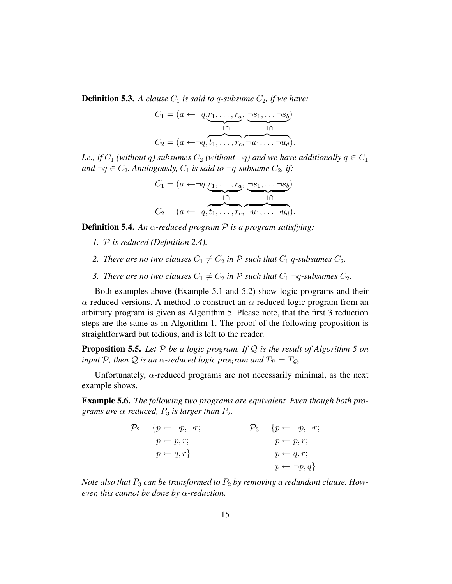**Definition 5.3.** A clause  $C_1$  is said to q-subsume  $C_2$ , if we have:

$$
C_1 = (a \leftarrow q, r_1, \dots, r_a, \underbrace{\neg s_1, \dots \neg s_b}_{\square \cap}
$$

$$
C_2 = (a \leftarrow \neg q, t_1, \dots, r_c, \neg u_1, \dots \neg u_d).
$$

*I.e., if*  $C_1$  *(without q) subsumes*  $C_2$  *(without*  $\neg q$ *) and we have additionally*  $q \in C_1$ *and*  $\neg q$  ∈  $C_2$ *. Analogously,*  $C_1$  *is said to*  $\neg q$ *-subsume*  $C_2$ *, if:* 

$$
C_1 = (a \leftarrow \neg q, \underbrace{r_1, \dots, r_a}_{\square \cap}, \underbrace{\neg s_1, \dots \neg s_b}_{\square \cap},
$$

$$
C_2 = (a \leftarrow q, \underbrace{t_1, \dots, r_c}_{\square \square, \dots \square u_d}, \dots \neg u_d).
$$

Definition 5.4. *An* α*-reduced program* P *is a program satisfying:*

- *1.* P *is reduced (Definition 2.4).*
- 2. There are no two clauses  $C_1 \neq C_2$  in  $P$  such that  $C_1$  q-subsumes  $C_2$ .
- *3. There are no two clauses*  $C_1 \neq C_2$  *in*  $\mathcal P$  *such that*  $C_1$   $\neg q$ *-subsumes*  $C_2$ *.*

Both examples above (Example 5.1 and 5.2) show logic programs and their  $\alpha$ -reduced versions. A method to construct an  $\alpha$ -reduced logic program from an arbitrary program is given as Algorithm 5. Please note, that the first 3 reduction steps are the same as in Algorithm 1. The proof of the following proposition is straightforward but tedious, and is left to the reader.

Proposition 5.5. *Let* P *be a logic program. If* Q *is the result of Algorithm 5 on input* P, then Q *is an*  $\alpha$ -reduced logic program and  $T_P = T_Q$ .

Unfortunately,  $\alpha$ -reduced programs are not necessarily minimal, as the next example shows.

Example 5.6. *The following two programs are equivalent. Even though both programs are*  $\alpha$ -reduced,  $P_3$  *is larger than*  $P_2$ *.* 

| $\mathcal{P}_2 = \{p \leftarrow \neg p, \neg r;$ | $\mathcal{P}_3 = \{p \leftarrow \neg p, \neg r;$ |
|--------------------------------------------------|--------------------------------------------------|
| $p \leftarrow p, r;$                             | $p \leftarrow p, r;$                             |
| $p \leftarrow q, r$                              | $p \leftarrow q, r;$                             |
|                                                  | $p \leftarrow \neg p, q$                         |

*Note also that*  $P_3$  *can be transformed to*  $P_2$  *by removing a redundant clause. However, this cannot be done by* α*-reduction.*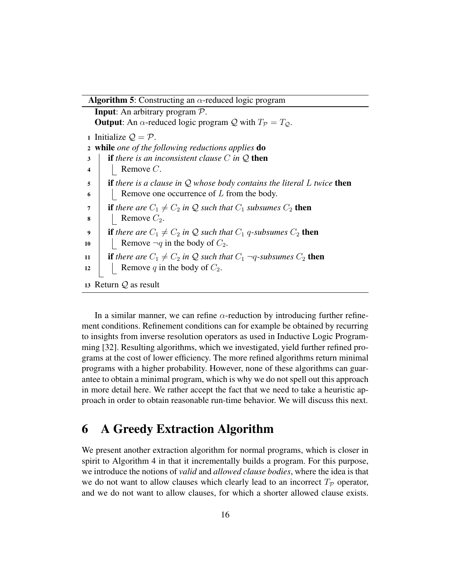**Algorithm 5:** Constructing an  $\alpha$ -reduced logic program Input: An arbitrary program P. **Output:** An  $\alpha$ -reduced logic program Q with  $T_p = T_Q$ . 1 Initialize  $\mathcal{Q} = \mathcal{P}$ . <sup>2</sup> while *one of the following reductions applies* do <sup>3</sup> if *there is an inconsistent clause* C *in* Q then 4 | Remove  $C$ . <sup>5</sup> if *there is a clause in* Q *whose body contains the literal* L *twice* then  $\mathfrak{g}$  | Remove one occurrence of L from the body.  $7$  **if** there are  $C_1 \neq C_2$  in Q such that  $C_1$  subsumes  $C_2$  then  $\mathbf{8}$  Remove  $C_2$ . 9 **if** there are  $C_1 \neq C_2$  in Q such that  $C_1$  q-subsumes  $C_2$  then 10 | Remove  $\neg q$  in the body of  $C_2$ . 11 **if** there are  $C_1 \neq C_2$  in Q such that  $C_1$   $\neg q$ -subsumes  $C_2$  then 12 Remove q in the body of  $C_2$ . 13 Return  $Q$  as result

In a similar manner, we can refine  $\alpha$ -reduction by introducing further refinement conditions. Refinement conditions can for example be obtained by recurring to insights from inverse resolution operators as used in Inductive Logic Programming [32]. Resulting algorithms, which we investigated, yield further refined programs at the cost of lower efficiency. The more refined algorithms return minimal programs with a higher probability. However, none of these algorithms can guarantee to obtain a minimal program, which is why we do not spell out this approach in more detail here. We rather accept the fact that we need to take a heuristic approach in order to obtain reasonable run-time behavior. We will discuss this next.

### 6 A Greedy Extraction Algorithm

We present another extraction algorithm for normal programs, which is closer in spirit to Algorithm 4 in that it incrementally builds a program. For this purpose, we introduce the notions of *valid* and *allowed clause bodies*, where the idea is that we do not want to allow clauses which clearly lead to an incorrect  $T_p$  operator, and we do not want to allow clauses, for which a shorter allowed clause exists.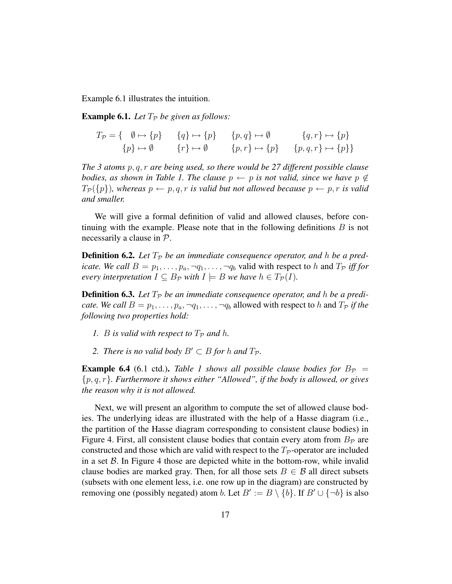Example 6.1 illustrates the intuition.

**Example 6.1.** Let  $T_p$  be given as follows:

$$
T_{\mathcal{P}} = \{ \emptyset \mapsto \{p\} \qquad \{q\} \mapsto \{p\} \qquad \{p, q\} \mapsto \emptyset \qquad \{q, r\} \mapsto \{p\}
$$

$$
\{p\} \mapsto \emptyset \qquad \{r\} \mapsto \emptyset \qquad \{p, r\} \mapsto \{p\} \qquad \{p, q, r\} \mapsto \{p\}
$$

*The 3 atoms* p, q, r *are being used, so there would be 27 different possible clause bodies, as shown in Table 1. The clause*  $p \leftarrow p$  *is not valid, since we have*  $p \notin$  $T_{\mathcal{P}}(\{p\})$ , whereas  $p \leftarrow p, q, r$  *is valid but not allowed because*  $p \leftarrow p, r$  *is valid and smaller.*

We will give a formal definition of valid and allowed clauses, before continuing with the example. Please note that in the following definitions  $B$  is not necessarily a clause in P.

**Definition 6.2.** Let  $T_p$  be an immediate consequence operator, and h be a pred*icate. We call*  $B = p_1, \ldots, p_a, \neg q_1, \ldots, \neg q_b$  valid with respect to h and  $T_p$  *iff for every interpretation*  $I \subseteq B_{\mathcal{P}}$  *with*  $I \models B$  *we have*  $h \in T_{\mathcal{P}}(I)$ *.* 

**Definition 6.3.** Let  $T_p$  be an immediate consequence operator, and h be a predi*cate. We call*  $B = p_1, \ldots, p_a, \neg q_1, \ldots, \neg q_b$  allowed with respect to h and  $T_P$  *if the following two properties hold:*

- *1. B* is valid with respect to  $T_P$  and h.
- *2. There is no valid body*  $B' \subset B$  *for* h *and*  $T_P$ .

**Example 6.4** (6.1 ctd.). *Table 1 shows all possible clause bodies for*  $B_p$  = {p, q, r}*. Furthermore it shows either "Allowed", if the body is allowed, or gives the reason why it is not allowed.*

Next, we will present an algorithm to compute the set of allowed clause bodies. The underlying ideas are illustrated with the help of a Hasse diagram (i.e., the partition of the Hasse diagram corresponding to consistent clause bodies) in Figure 4. First, all consistent clause bodies that contain every atom from  $B_{\mathcal{P}}$  are constructed and those which are valid with respect to the  $T_p$ -operator are included in a set  $\beta$ . In Figure 4 those are depicted white in the bottom-row, while invalid clause bodies are marked gray. Then, for all those sets  $B \in \mathcal{B}$  all direct subsets (subsets with one element less, i.e. one row up in the diagram) are constructed by removing one (possibly negated) atom b. Let  $B' := B \setminus \{b\}$ . If  $B' \cup \{\neg b\}$  is also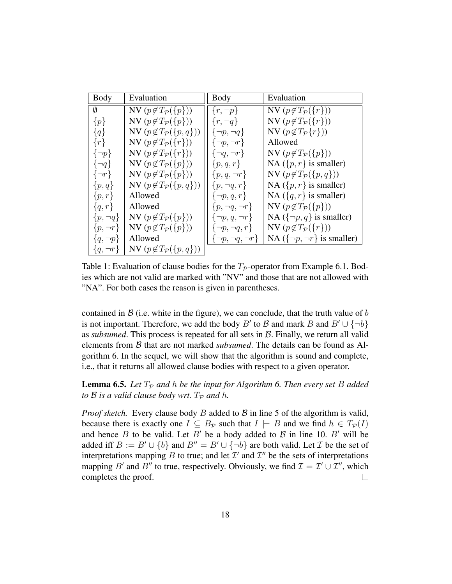| <b>Body</b>     | Evaluation                               | Body                         | Evaluation                               |
|-----------------|------------------------------------------|------------------------------|------------------------------------------|
| Ø               | NV $(p \notin T_{\mathcal{P}}(\{p\}))$   | $\{r, \neg p\}$              | NV $(p \notin T_{\mathcal{P}}(\{r\}))$   |
| $\{p\}$         | NV $(p \notin T_{\mathcal{P}}(\{p\}))$   | $\{r, \neg q\}$              | NV $(p \notin T_{\mathcal{P}}(\{r\}))$   |
| ${q}$           | NV $(p \notin T_{\mathcal{P}}(\{p,q\}))$ | $\{\neg p, \neg q\}$         | NV $(p \notin T_{\mathcal{P}}\{r\})$     |
| $\{r\}$         | NV $(p \notin T_{\mathcal{P}}(\{r\}))$   | $\{\neg p, \neg r\}$         | Allowed                                  |
| $\{\neg p\}$    | NV $(p \notin T_{\mathcal{P}}(\{r\}))$   | $\{\neg q, \neg r\}$         | NV $(p \notin T_{\mathcal{P}}(\{p\}))$   |
| $\{\neg q\}$    | NV $(p \notin T_{\mathcal{P}}(\{p\}))$   | $\{p,q,r\}$                  | NA ( $\{p, r\}$ is smaller)              |
| $\{\neg r\}$    | NV $(p \notin T_{\mathcal{P}}(\{p\}))$   | $\{p,q,\neg r\}$             | NV $(p \notin T_{\mathcal{P}}(\{p,q\}))$ |
| $\{p,q\}$       | NV $(p \notin T_{\mathcal{P}}(\{p,q\}))$ | $\{p, \neg q, r\}$           | NA $({p, r}$ is smaller)                 |
| $\{p,r\}$       | Allowed                                  | $\{\neg p, q, r\}$           | NA ( $\{q, r\}$ is smaller)              |
| $\{q,r\}$       | Allowed                                  | $\{p, \neg q, \neg r\}$      | NV $(p \notin T_{\mathcal{P}}(\{p\}))$   |
| $\{p, \neg q\}$ | NV $(p \notin T_{\mathcal{P}}(\{p\}))$   | $\{\neg p, q, \neg r\}$      | NA ( $\{\neg p, q\}$ is smaller)         |
| $\{p, \neg r\}$ | NV $(p \notin T_{\mathcal{P}}(\{p\}))$   | $\{\neg p, \neg q, r\}$      | NV $(p \notin T_{\mathcal{P}}(\{r\}))$   |
| $\{q, \neg p\}$ | Allowed                                  | $\{\neg p, \neg q, \neg r\}$ | NA $({\neg p, \neg r}$ is smaller)       |
| $\{q, \neg r\}$ | NV $(p \notin T_{\mathcal{P}}(\{p,q\}))$ |                              |                                          |

Table 1: Evaluation of clause bodies for the  $T_p$ -operator from Example 6.1. Bodies which are not valid are marked with "NV" and those that are not allowed with "NA". For both cases the reason is given in parentheses.

contained in  $\beta$  (i.e. white in the figure), we can conclude, that the truth value of b is not important. Therefore, we add the body B' to B and mark B and  $B' \cup \{\neg b\}$ as *subsumed*. This process is repeated for all sets in B. Finally, we return all valid elements from B that are not marked *subsumed*. The details can be found as Algorithm 6. In the sequel, we will show that the algorithm is sound and complete, i.e., that it returns all allowed clause bodies with respect to a given operator.

**Lemma 6.5.** Let  $T_P$  and h be the input for Algorithm 6. Then every set B added *to*  $\beta$  *is a valid clause body wrt.*  $T_p$  *and*  $h$ .

*Proof sketch.* Every clause body  $B$  added to  $B$  in line 5 of the algorithm is valid, because there is exactly one  $I \subseteq B_{\mathcal{P}}$  such that  $I \models B$  and we find  $h \in T_{\mathcal{P}}(I)$ and hence B to be valid. Let B' be a body added to B in line 10. B' will be added iff  $B := B' \cup \{b\}$  and  $B'' = B' \cup \{\neg b\}$  are both valid. Let *T* be the set of interpretations mapping B to true; and let  $\mathcal{I}'$  and  $\mathcal{I}''$  be the sets of interpretations mapping B' and B" to true, respectively. Obviously, we find  $\mathcal{I} = \mathcal{I}' \cup \mathcal{I}''$ , which completes the proof.  $\Box$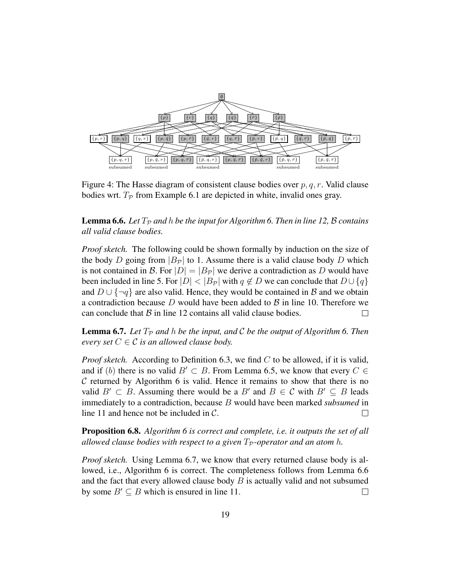

Figure 4: The Hasse diagram of consistent clause bodies over  $p, q, r$ . Valid clause bodies wrt.  $T_p$  from Example 6.1 are depicted in white, invalid ones gray.

**Lemma 6.6.** Let  $T_p$  and h be the input for Algorithm 6. Then in line 12, B contains *all valid clause bodies.*

*Proof sketch.* The following could be shown formally by induction on the size of the body D going from  $|B_{\mathcal{P}}|$  to 1. Assume there is a valid clause body D which is not contained in B. For  $|D| = |B_{\mathcal{P}}|$  we derive a contradiction as D would have been included in line 5. For  $|D| < |B_{\mathcal{P}}|$  with  $q \notin D$  we can conclude that  $D \cup \{q\}$ and  $D \cup \{\neg q\}$  are also valid. Hence, they would be contained in B and we obtain a contradiction because D would have been added to  $\beta$  in line 10. Therefore we can conclude that  $\beta$  in line 12 contains all valid clause bodies.  $\Box$ 

**Lemma 6.7.** Let  $T_P$  and h be the input, and C be the output of Algorithm 6. Then *every set*  $C \in \mathcal{C}$  *is an allowed clause body.* 

*Proof sketch.* According to Definition 6.3, we find C to be allowed, if it is valid, and if (b) there is no valid  $B' \subset B$ . From Lemma 6.5, we know that every  $C \in$  $C$  returned by Algorithm 6 is valid. Hence it remains to show that there is no valid  $B' \subset B$ . Assuming there would be a  $B'$  and  $B \in \mathcal{C}$  with  $B' \subseteq B$  leads immediately to a contradiction, because B would have been marked *subsumed* in line 11 and hence not be included in C.  $\Box$ 

Proposition 6.8. *Algorithm 6 is correct and complete, i.e. it outputs the set of all allowed clause bodies with respect to a given*  $T_P$ -operator and an atom h.

*Proof sketch.* Using Lemma 6.7, we know that every returned clause body is allowed, i.e., Algorithm 6 is correct. The completeness follows from Lemma 6.6 and the fact that every allowed clause body  $B$  is actually valid and not subsumed by some  $B' \subseteq B$  which is ensured in line 11.  $\Box$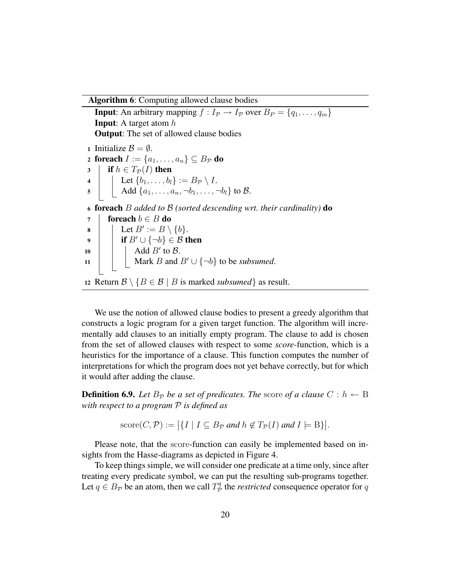Algorithm 6: Computing allowed clause bodies

**Input:** An arbitrary mapping  $f : I_p \to I_p$  over  $B_p = \{q_1, \ldots, q_m\}$ **Input:** A target atom  $h$ Output: The set of allowed clause bodies 1 Initialize  $\mathcal{B} = \emptyset$ . 2 foreach  $I := \{a_1, \ldots, a_n\} \subseteq B_{\mathcal{P}}$  do 3 | if  $h \in T_{\mathcal{P}}(I)$  then  $\begin{array}{ccc} \textsf{4} & | & \end{array} \quad \textsf{Let} \; \{b_1, \ldots, b_l\} := B_\mathcal{P} \setminus I.$ 5 Add  $\{a_1, \ldots, a_n, \neg b_1, \ldots, \neg b_l\}$  to  $\mathcal{B}$ . <sup>6</sup> foreach B *added to* B *(sorted descending wrt. their cardinality)* do 7 foreach  $b \in B$  do  $\begin{array}{c|c} \mathbf{s} & \mathbf{1} \end{array} \quad \begin{array}{c} \mathbf{2} \mathbf{E} & \mathbf{B} \end{array} \begin{array}{c} \mathbf{E} & \mathbf{B} \end{array} \begin{array}{c} \mathbf{E} & \mathbf{B} \end{array} \begin{array}{c} \mathbf{E} & \mathbf{B} \end{array}$ 9 │ │ if  $B' \cup \{\neg b\} \in \mathcal{B}$  then 10  $\parallel$   $\parallel$  Add  $B'$  to  $\mathcal{B}$ . 11  $\parallel$  Mark *B* and  $B' \cup \{\neg b\}$  to be *subsumed*. 12 Return  $\mathcal{B} \setminus \{B \in \mathcal{B} \mid B \text{ is marked } subsumed \}$  as result.

We use the notion of allowed clause bodies to present a greedy algorithm that constructs a logic program for a given target function. The algorithm will incrementally add clauses to an initially empty program. The clause to add is chosen from the set of allowed clauses with respect to some *score*-function, which is a heuristics for the importance of a clause. This function computes the number of interpretations for which the program does not yet behave correctly, but for which it would after adding the clause.

**Definition 6.9.** Let  $B_{\mathcal{P}}$  be a set of predicates. The score of a clause  $C : h \leftarrow B$ *with respect to a program* P *is defined as*

 $\text{score}(C, \mathcal{P}) := |\{I \mid I \subseteq B_{\mathcal{P}} \text{ and } h \notin T_{\mathcal{P}}(I) \text{ and } I \models B\}|.$ 

Please note, that the score-function can easily be implemented based on insights from the Hasse-diagrams as depicted in Figure 4.

To keep things simple, we will consider one predicate at a time only, since after treating every predicate symbol, we can put the resulting sub-programs together. Let  $q \in B_{\mathcal{P}}$  be an atom, then we call  $T_{\mathcal{P}}^q$  $\mathcal{P}^q_\mathcal{P}$  the *restricted* consequence operator for  $q$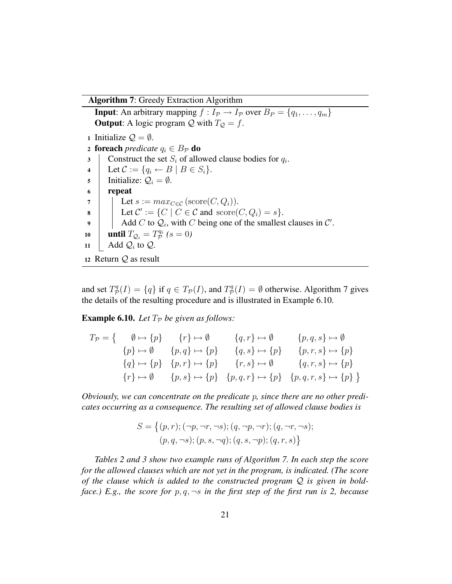Algorithm 7: Greedy Extraction Algorithm

**Input:** An arbitrary mapping  $f: I_p \to I_p$  over  $B_p = \{q_1, \ldots, q_m\}$ **Output:** A logic program  $Q$  with  $T_Q = f$ . 1 Initialize  $\mathcal{Q} = \emptyset$ . 2 **foreach** *predicate*  $q_i \in B_{\mathcal{P}}$  **do** 3 Construct the set  $S_i$  of allowed clause bodies for  $q_i$ . 4 Let  $C := \{q_i \leftarrow B \mid B \in S_i\}.$ 5 | Initialize:  $Q_i = \emptyset$ . <sup>6</sup> repeat 7 | Let  $s := max_{C \in \mathcal{C}} (\text{score}(C, Q_i)).$ 8 Eet  $\mathcal{C}' := \{C \mid C \in \mathcal{C} \text{ and } \operatorname{score}(C, Q_i) = s\}.$ Add C to  $\mathcal{Q}_i$ , with C being one of the smallest clauses in C'. until  $T_{\mathcal{Q}_i} = T_{\mathcal{P}}^{q_i}$ 10 **a until**  $T_{\mathcal{Q}_i} = T_{\mathcal{P}}^{q_i}$  (s = 0) 11  $\vert$  Add  $\mathcal{Q}_i$  to  $\mathcal{Q}$ . <sup>12</sup> Return Q as result

and set  $T^q_{\mathcal{P}}$  $\mathcal{P}_\mathcal{P}^q(I) = \{q\}$  if  $q \in T_\mathcal{P}(I)$ , and  $T_\mathcal{P}^q$  $P_{\mathcal{P}}^q(I) = \emptyset$  otherwise. Algorithm 7 gives the details of the resulting procedure and is illustrated in Example 6.10.

**Example 6.10.** Let  $T_P$  be given as follows:

$$
T_{\mathcal{P}} = \left\{ \begin{array}{ccc} \emptyset \mapsto \{p\} & \{r\} \mapsto \emptyset & \{q,r\} \mapsto \emptyset & \{p,q,s\} \mapsto \emptyset \\ \{p\} \mapsto \emptyset & \{p,q\} \mapsto \{p\} & \{q,s\} \mapsto \{p\} & \{p,r,s\} \mapsto \{p\} \\ \{q\} \mapsto \{p\} & \{p,r\} \mapsto \{p\} & \{r,s\} \mapsto \emptyset & \{q,r,s\} \mapsto \{p\} \\ \{r\} \mapsto \emptyset & \{p,s\} \mapsto \{p\} & \{p,q,r\} \mapsto \{p\} & \{p,q,r,s\} \mapsto \{p\} \end{array} \right\}
$$

*Obviously, we can concentrate on the predicate* p*, since there are no other predicates occurring as a consequence. The resulting set of allowed clause bodies is*

$$
S = \{ (p, r); (\neg p, \neg r, \neg s); (q, \neg p, \neg r); (q, \neg r, \neg s); (p, q, \neg s); (p, s, \neg q); (q, s, \neg p); (q, r, s) \}
$$

*Tables 2 and 3 show two example runs of Algorithm 7. In each step the score for the allowed clauses which are not yet in the program, is indicated. (The score of the clause which is added to the constructed program* Q *is given in boldface.)* E.g., the score for  $p, q, \neg s$  *in the first step of the first run is 2, because*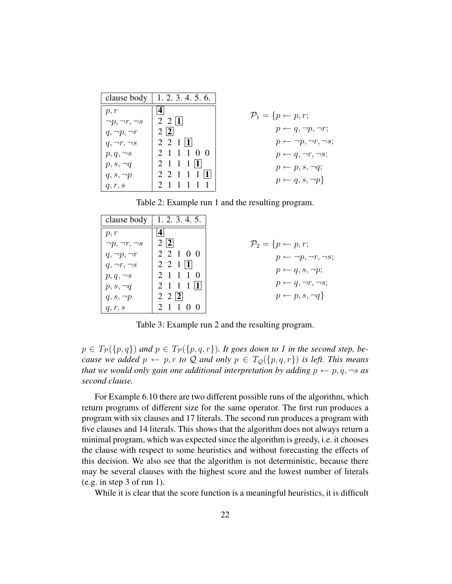| clause body              | 1.2.3.4.5.6.             |                                        |
|--------------------------|--------------------------|----------------------------------------|
| p, r                     |                          | $\mathcal{P}_1 = \{p \leftarrow p, r;$ |
| $\neg p, \neg r, \neg s$ | $2 \; 2 \;  1 $          |                                        |
| $q, \neg p, \neg r$      | $2\vert 2 \vert$         | $p \leftarrow q, \neg p, \neg r;$      |
| $q, \neg r, \neg s$      | $2\; 2\; 1\; 1$          | $p \leftarrow \neg p, \neg r, \neg s;$ |
| $p, q, \neg s$           | 2 1 1 1 0 0              | $p \leftarrow q, \neg r, \neg s;$      |
| $p, s, \neg q$           | $2 \; 1 \; 1 \; 1 \; 11$ | $p \leftarrow p, s, \neg q;$           |
| $q, s, \neg p$           | $2$ 2 1 1 1 1            |                                        |
| q, r, s                  | 2 1 1 1 1 1              | $p \leftarrow q, s, \neg p$            |

Table 2: Example run 1 and the resulting program.

| clause body              | 1.2.3.4.5.               |                                        |
|--------------------------|--------------------------|----------------------------------------|
| p, r                     | 4                        |                                        |
| $\neg p, \neg r, \neg s$ | 2 2                      | $\mathcal{P}_2 = \{p \leftarrow p, r;$ |
| $q, \neg p, \neg r$      | 2 2 1 0 0                | $p \leftarrow \neg p, \neg r, \neg s;$ |
| $q, \neg r, \neg s$      | $2 \t2 \t1 \t1$          | $p \leftarrow q, s, \neg p;$           |
| $p, q, \neg s$           | 2 1 1 1 0                |                                        |
| $p, s, \neg q$           | $2 \; 1 \; 1 \; 1 \; 11$ | $p \leftarrow q, \neg r, \neg s;$      |
| $q, s, \neg p$           | $2 \ 2 \ 2$              | $p \leftarrow p, s, \neg q$            |
| q, r, s                  |                          |                                        |

Table 3: Example run 2 and the resulting program.

 $p \in T_{\mathcal{P}}(\lbrace p, q \rbrace)$  and  $p \in T_{\mathcal{P}}(\lbrace p, q, r \rbrace)$ *. It goes down to 1 in the second step, because we added*  $p \leftarrow p, r \text{ to } Q$  *and only*  $p \in T_Q(\{p,q,r\})$  *is left. This means that we would only gain one additional interpretation by adding*  $p \leftarrow p, q, \neg s$  *as second clause.*

For Example 6.10 there are two different possible runs of the algorithm, which return programs of different size for the same operator. The first run produces a program with six clauses and 17 literals. The second run produces a program with five clauses and 14 literals. This shows that the algorithm does not always return a minimal program, which was expected since the algorithm is greedy, i.e. it chooses the clause with respect to some heuristics and without forecasting the effects of this decision. We also see that the algorithm is not deterministic, because there may be several clauses with the highest score and the lowest number of literals (e.g. in step 3 of run 1).

While it is clear that the score function is a meaningful heuristics, it is difficult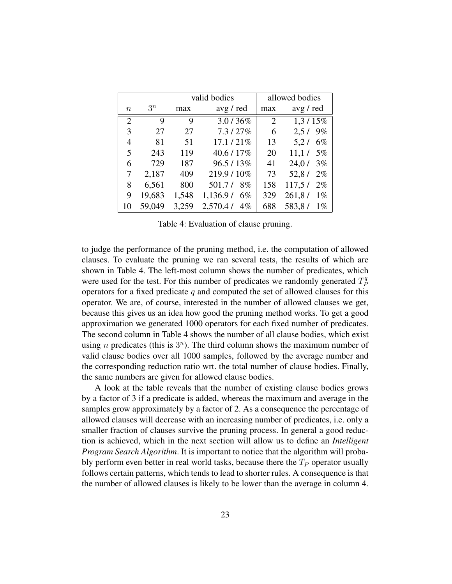|                |        |       | valid bodies      |                | allowed bodies  |
|----------------|--------|-------|-------------------|----------------|-----------------|
| $\it{n}$       | $3^n$  | max   | avg / red         | max            | avg / red       |
| $\overline{2}$ | 9      | 9     | 3.0/36%           | $\overline{2}$ | $1,3/15\%$      |
| 3              | 27     | 27    | 7.3/27%           | 6              | 9%<br>2,5/      |
| 4              | 81     | 51    | $17.1/21\%$       | 13             | $6\%$<br>5,2/   |
| 5              | 243    | 119   | 40.6 / 17%        | 20             | 11,1/<br>$5\%$  |
| 6              | 729    | 187   | $96.5/13\%$       | 41             | 24,0/<br>3%     |
| 7              | 2,187  | 409   | 219.9 / 10%       | 73             | 52,8/<br>$2\%$  |
| 8              | 6,561  | 800   | 501.7/<br>8%      | 158            | 117,5/<br>$2\%$ |
| 9              | 19,683 | 1,548 | 1,136.9/<br>$6\%$ | 329            | 261,8/<br>$1\%$ |
| 10             | 59,049 | 3,259 | 2,570.4/<br>$4\%$ | 688            | 583,8/<br>$1\%$ |

Table 4: Evaluation of clause pruning.

to judge the performance of the pruning method, i.e. the computation of allowed clauses. To evaluate the pruning we ran several tests, the results of which are shown in Table 4. The left-most column shows the number of predicates, which were used for the test. For this number of predicates we randomly generated  $T_p^q$ P operators for a fixed predicate  $q$  and computed the set of allowed clauses for this operator. We are, of course, interested in the number of allowed clauses we get, because this gives us an idea how good the pruning method works. To get a good approximation we generated 1000 operators for each fixed number of predicates. The second column in Table 4 shows the number of all clause bodies, which exist using *n* predicates (this is  $3<sup>n</sup>$ ). The third column shows the maximum number of valid clause bodies over all 1000 samples, followed by the average number and the corresponding reduction ratio wrt. the total number of clause bodies. Finally, the same numbers are given for allowed clause bodies.

A look at the table reveals that the number of existing clause bodies grows by a factor of 3 if a predicate is added, whereas the maximum and average in the samples grow approximately by a factor of 2. As a consequence the percentage of allowed clauses will decrease with an increasing number of predicates, i.e. only a smaller fraction of clauses survive the pruning process. In general a good reduction is achieved, which in the next section will allow us to define an *Intelligent Program Search Algorithm*. It is important to notice that the algorithm will probably perform even better in real world tasks, because there the  $T<sub>P</sub>$  operator usually follows certain patterns, which tends to lead to shorter rules. A consequence is that the number of allowed clauses is likely to be lower than the average in column 4.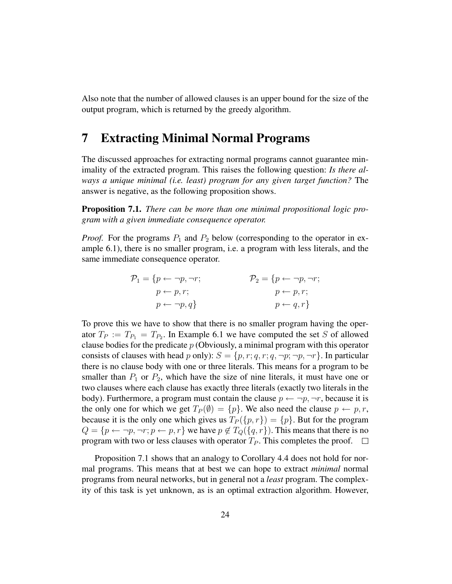Also note that the number of allowed clauses is an upper bound for the size of the output program, which is returned by the greedy algorithm.

### 7 Extracting Minimal Normal Programs

The discussed approaches for extracting normal programs cannot guarantee minimality of the extracted program. This raises the following question: *Is there always a unique minimal (i.e. least) program for any given target function?* The answer is negative, as the following proposition shows.

Proposition 7.1. *There can be more than one minimal propositional logic program with a given immediate consequence operator.*

*Proof.* For the programs  $P_1$  and  $P_2$  below (corresponding to the operator in example 6.1), there is no smaller program, i.e. a program with less literals, and the same immediate consequence operator.

$$
\mathcal{P}_1 = \{p \leftarrow \neg p, \neg r; \qquad \qquad \mathcal{P}_2 = \{p \leftarrow \neg p, \neg r; \\ p \leftarrow p, r; \qquad \qquad p \leftarrow p, r; \\ p \leftarrow \neg p, q\} \qquad \qquad p \leftarrow q, r\}
$$

To prove this we have to show that there is no smaller program having the operator  $T_P := T_{P_1} = T_{P_2}$ . In Example 6.1 we have computed the set S of allowed clause bodies for the predicate  $p$  (Obviously, a minimal program with this operator consists of clauses with head p only):  $S = \{p, r; q, r; q, \neg p; \neg p, \neg r\}$ . In particular there is no clause body with one or three literals. This means for a program to be smaller than  $P_1$  or  $P_2$ , which have the size of nine literals, it must have one or two clauses where each clause has exactly three literals (exactly two literals in the body). Furthermore, a program must contain the clause  $p \leftarrow \neg p, \neg r$ , because it is the only one for which we get  $T_P(\emptyset) = \{p\}$ . We also need the clause  $p \leftarrow p, r$ , because it is the only one which gives us  $T_P({p, r}) = {p}$ . But for the program  $Q = \{p \leftarrow \neg p, \neg r; p \leftarrow p, r\}$  we have  $p \notin T_Q(\{q, r\})$ . This means that there is no program with two or less clauses with operator  $T_P$ . This completes the proof.  $\Box$ 

Proposition 7.1 shows that an analogy to Corollary 4.4 does not hold for normal programs. This means that at best we can hope to extract *minimal* normal programs from neural networks, but in general not a *least* program. The complexity of this task is yet unknown, as is an optimal extraction algorithm. However,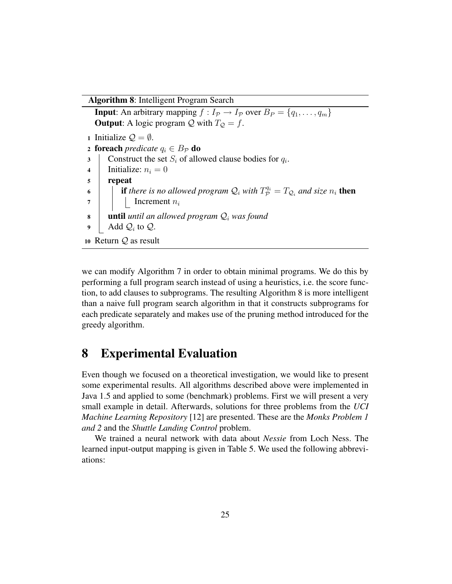Algorithm 8: Intelligent Program Search

**Input:** An arbitrary mapping  $f : I_p \to I_p$  over  $B_P = \{q_1, \ldots, q_m\}$ **Output:** A logic program  $Q$  with  $T_Q = f$ . 1 Initialize  $\mathcal{Q} = \emptyset$ . 2 **foreach** *predicate*  $q_i \in B_{\mathcal{P}}$  **do** 3 Construct the set  $S_i$  of allowed clause bodies for  $q_i$ . 4 | Initialize:  $n_i = 0$ <sup>5</sup> repeat 6 **if there is no allowed program**  $Q_i$  with  $T^{q_i}_{\mathcal{P}} = T_{Q_i}$  and size  $n_i$  then  $7$  | | Increment  $n_i$ 8 **until** *until an allowed program*  $Q_i$  *was found* 9 Add  $\mathcal{Q}_i$  to  $\mathcal{Q}$ . <sup>10</sup> Return Q as result

we can modify Algorithm 7 in order to obtain minimal programs. We do this by performing a full program search instead of using a heuristics, i.e. the score function, to add clauses to subprograms. The resulting Algorithm 8 is more intelligent than a naive full program search algorithm in that it constructs subprograms for each predicate separately and makes use of the pruning method introduced for the greedy algorithm.

### 8 Experimental Evaluation

Even though we focused on a theoretical investigation, we would like to present some experimental results. All algorithms described above were implemented in Java 1.5 and applied to some (benchmark) problems. First we will present a very small example in detail. Afterwards, solutions for three problems from the *UCI Machine Learning Repository* [12] are presented. These are the *Monks Problem 1 and 2* and the *Shuttle Landing Control* problem.

We trained a neural network with data about *Nessie* from Loch Ness. The learned input-output mapping is given in Table 5. We used the following abbreviations: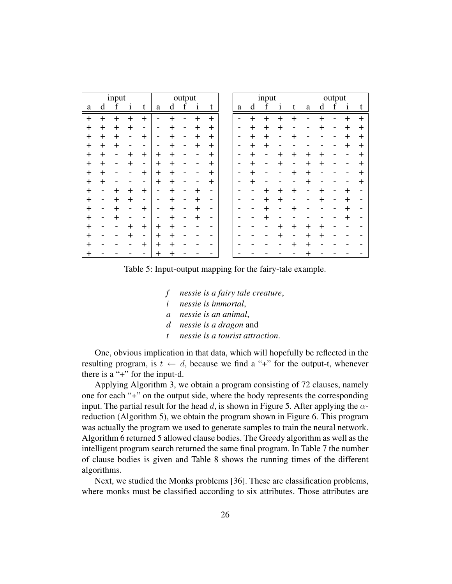|       |           | input     |              |                          |           |                | output |         |       |   |           | input |              |                      |       |                | output |                      |          |
|-------|-----------|-----------|--------------|--------------------------|-----------|----------------|--------|---------|-------|---|-----------|-------|--------------|----------------------|-------|----------------|--------|----------------------|----------|
| a     | d         | f         | $\mathbf{1}$ | t                        | a         | d              | f      | 1       | t     | a | d         | f     | $\mathbf{1}$ | t                    | a     | d              | f      | $\mathbf{1}$         | t        |
| $\pm$ | $\ddot{}$ | $^{+}$    | $+$          | $+$                      |           | $\overline{+}$ |        | $\ddag$ | $+$   |   | $\ddot{}$ | $+$   | $+$          | $+$                  |       | $^{+}$         |        | $\pm$                | $+$      |
| $\pm$ | $+$       | $\pm$     | $\pm$        | -                        |           | $\pm$          |        | $\pm$   | $\pm$ |   | $\pm$     | $\pm$ | $\pm$        |                      |       | $\,{}^+$       |        | ┿                    | $\pm$    |
| $+$   | $+$       | ╅         |              | $\ddot{}$                |           | $\overline{+}$ |        | $\pm$   | $\pm$ |   | $\pm$     | $\pm$ |              | $\textcolor{red}{+}$ |       |                |        | ┿                    | $+$      |
| $\pm$ | $+$       | ╅         |              |                          |           | ┿              |        | $\pm$   | $\pm$ |   | $\pm$     | $+$   |              |                      |       |                |        | ┿                    | $\div$   |
| $+$   | $+$       |           | $\ddag$      | $+$                      | $\pm$     | $\ddot{}$      |        |         | $\pm$ |   | $\pm$     |       | $\div$       | $\pm$                | $\pm$ | $^{+}$         |        |                      | $\pm$    |
| $+$   | $+$       |           | ┿            | -                        | $\pm$     | ┿              |        |         | $\pm$ |   | $\pm$     |       | ┿            | -                    | $\pm$ | $\,{}^+$       |        |                      | $\pm$    |
| $\pm$ | $+$       |           |              | $\pm$                    | $\pm$     | $\div$         |        |         | $\pm$ |   | $\ddag$   |       |              | $\ddot{}$            | $\pm$ |                |        |                      | $\bm{+}$ |
| $+$   | $+$       |           |              | -                        | $\pm$     | $\pm$          |        |         | $\pm$ |   | $\pm$     |       |              |                      | $\pm$ |                |        |                      | $\pm$    |
| $\pm$ |           | $\ddot{}$ | $\pm$        | $\pm$                    | -         | ╊              |        | $\pm$   |       |   |           | $\pm$ | $\ddot{}$    | $\pm$                |       | $\,{}^+$       |        | ╇                    |          |
| $\pm$ |           | $\ddag$   | $\pm$        | -                        |           | $\div$         |        | ╈       |       |   |           | $\pm$ | $\pm$        |                      |       | $\overline{+}$ |        | ┿                    |          |
| $\pm$ |           | ╊         |              | $\pm$                    | -         | $\ddot{}$      |        | $\pm$   |       |   |           | $\pm$ |              | ┿                    |       |                |        | $\ddot{}$            |          |
| $\pm$ |           |           |              |                          |           | $\div$         |        | $\pm$   |       |   |           | ╈     |              |                      |       |                |        | $\textcolor{red}{+}$ |          |
| $\pm$ |           |           | $\ddag$      | $\pm$                    | $\ddot{}$ | $\ddot{}$      |        |         |       |   |           |       | $\ddot{}$    | $\pm$                | $+$   | $^{+}$         |        |                      |          |
| $+$   |           |           | ┿            | $\overline{\phantom{a}}$ | $\pm$     | $\pm$          |        |         |       |   |           |       | $\div$       | -                    | $\pm$ | $^{+}$         |        |                      |          |
| $+$   |           |           |              | $\pm$                    | $\pm$     | ╋              |        |         |       |   |           |       |              | $\div$               | $\pm$ |                |        |                      |          |
| $\pm$ |           |           |              |                          | ┿         |                |        |         |       |   |           |       |              |                      | $\pm$ |                |        |                      |          |

Table 5: Input-output mapping for the fairy-tale example.

- *f nessie is a fairy tale creature*,
- *i nessie is immortal*,
- *a nessie is an animal*,
- *d nessie is a dragon* and
- *t nessie is a tourist attraction*.

One, obvious implication in that data, which will hopefully be reflected in the resulting program, is  $t \leftarrow d$ , because we find a "+" for the output-t, whenever there is a "+" for the input-d.

Applying Algorithm 3, we obtain a program consisting of 72 clauses, namely one for each "+" on the output side, where the body represents the corresponding input. The partial result for the head d, is shown in Figure 5. After applying the  $\alpha$ reduction (Algorithm 5), we obtain the program shown in Figure 6. This program was actually the program we used to generate samples to train the neural network. Algorithm 6 returned 5 allowed clause bodies. The Greedy algorithm as well as the intelligent program search returned the same final program. In Table 7 the number of clause bodies is given and Table 8 shows the running times of the different algorithms.

Next, we studied the Monks problems [36]. These are classification problems, where monks must be classified according to six attributes. Those attributes are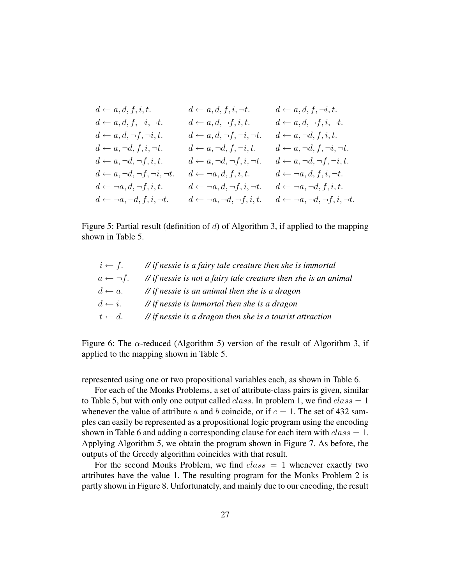$$
\begin{array}{llllllll} d \leftarrow a,d,f,i,t, & d \leftarrow a,d,f,i,\neg t. & d \leftarrow a,d,f,\neg i,t. \\ d \leftarrow a,d,f,\neg i,\neg t. & d \leftarrow a,d,\neg f,i,t, & d \leftarrow a,d,\neg f,i,\neg t. \\ d \leftarrow a,d,\neg f,\neg i,t. & d \leftarrow a,d,\neg f,\neg i,\neg t. & d \leftarrow a,\neg d,f,i,t. \\ d \leftarrow a,\neg d,f,i,\neg t. & d \leftarrow a,\neg d,f,\neg i,\neg t. & d \leftarrow a,\neg d,f,\neg i,\neg t. \\ d \leftarrow a,\neg d,\neg f,i,t. & d \leftarrow a,\neg d,\neg f,i,\neg t. & d \leftarrow a,\neg d,\neg f,\neg i,t. \\ d \leftarrow a,\neg d,\neg f,i,t. & d \leftarrow a,\neg d,\neg f,i,\neg t. & d \leftarrow a,\neg d,\neg f,\neg i,t. \\ d \leftarrow \neg a,d,\neg f,i,t. & d \leftarrow \neg a,d,f,i,t, & d \leftarrow \neg a,d,f,i,t. \\ d \leftarrow \neg a,\neg d,f,i,t. & d \leftarrow \neg a,\neg d,\neg f,i,t. & d \leftarrow \neg a,\neg d,\neg f,i,t. \\ d \leftarrow \neg a,\neg d,f,i,\neg t. & d \leftarrow \neg a,\neg d,\neg f,i,t. & d \leftarrow \neg a,\neg d,\neg f,i,\neg t. \end{array}
$$

Figure 5: Partial result (definition of  $d$ ) of Algorithm 3, if applied to the mapping shown in Table 5.

|                         | $i \leftarrow f$ . // if nessie is a fairy tale creature then she is immortal |
|-------------------------|-------------------------------------------------------------------------------|
| $a \leftarrow \neg f$ . | $\mathcal{N}$ if nessie is not a fairy tale creature then she is an animal    |
| $d \leftarrow a$ .      | $\mathcal{N}$ if nessie is an animal then she is a dragon                     |
| $d \leftarrow i$ .      | $\frac{1}{\pi}$ if nessie is immortal then she is a dragon                    |
| $t \leftarrow d$ .      | $\mathcal{N}$ if nessie is a dragon then she is a tourist attraction          |

Figure 6: The  $\alpha$ -reduced (Algorithm 5) version of the result of Algorithm 3, if applied to the mapping shown in Table 5.

represented using one or two propositional variables each, as shown in Table 6.

For each of the Monks Problems, a set of attribute-class pairs is given, similar to Table 5, but with only one output called *class*. In problem 1, we find  $class = 1$ whenever the value of attribute a and b coincide, or if  $e = 1$ . The set of 432 samples can easily be represented as a propositional logic program using the encoding shown in Table 6 and adding a corresponding clause for each item with  $class = 1$ . Applying Algorithm 5, we obtain the program shown in Figure 7. As before, the outputs of the Greedy algorithm coincides with that result.

For the second Monks Problem, we find  $class = 1$  whenever exactly two attributes have the value 1. The resulting program for the Monks Problem 2 is partly shown in Figure 8. Unfortunately, and mainly due to our encoding, the result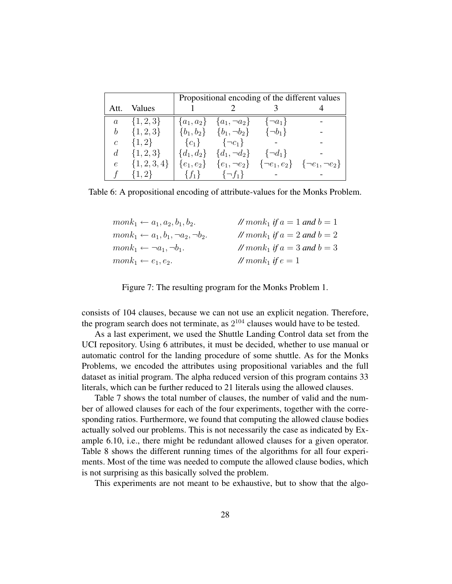|               |                 | Propositional encoding of the different values |                                                     |                |                                                                         |  |  |  |
|---------------|-----------------|------------------------------------------------|-----------------------------------------------------|----------------|-------------------------------------------------------------------------|--|--|--|
| Att.          | Values          |                                                |                                                     |                |                                                                         |  |  |  |
|               | $a = \{1,2,3\}$ |                                                | ${a_1, a_2} \quad {a_1, \neg a_2} \quad {\neg a_1}$ |                |                                                                         |  |  |  |
| b             | $\{1,2,3\}$     |                                                | $\{b_1, b_2\}$ $\{b_1, \neg b_2\}$                  | $\{\neg b_1\}$ |                                                                         |  |  |  |
| $\mathcal{C}$ | $\{1,2\}$       |                                                | ${c_1}$ ${\neg c_1}$                                |                |                                                                         |  |  |  |
|               | $d \{1,2,3\}$   |                                                | $\{d_1, d_2\}$ $\{d_1, \neg d_2\}$ $\{\neg d_1\}$   |                |                                                                         |  |  |  |
| $\epsilon$    | $\{1,2,3,4\}$   |                                                |                                                     |                | ${e_1, e_2}$ ${e_1, \neg e_2}$ ${\neg e_1, e_2}$ ${\neg e_1, \neg e_2}$ |  |  |  |
|               | $\{1,2\}$       | $\{f_1\}$                                      | $\{\neg f_1\}$                                      |                |                                                                         |  |  |  |

Table 6: A propositional encoding of attribute-values for the Monks Problem.

| $monk_1 \leftarrow a_1, a_2, b_1, b_2.$           | // $month_1$ if $a = 1$ and $b = 1$ |
|---------------------------------------------------|-------------------------------------|
| $monk_1 \leftarrow a_1, b_1, \neg a_2, \neg b_2.$ | // $month_1$ if $a = 2$ and $b = 2$ |
| $monk_1 \leftarrow \neg a_1, \neg b_1.$           | // $month_1$ if $a = 3$ and $b = 3$ |
| $monk_1 \leftarrow e_1, e_2.$                     | // $mank_1$ if $e=1$                |

Figure 7: The resulting program for the Monks Problem 1.

consists of 104 clauses, because we can not use an explicit negation. Therefore, the program search does not terminate, as  $2^{104}$  clauses would have to be tested.

As a last experiment, we used the Shuttle Landing Control data set from the UCI repository. Using 6 attributes, it must be decided, whether to use manual or automatic control for the landing procedure of some shuttle. As for the Monks Problems, we encoded the attributes using propositional variables and the full dataset as initial program. The alpha reduced version of this program contains 33 literals, which can be further reduced to 21 literals using the allowed clauses.

Table 7 shows the total number of clauses, the number of valid and the number of allowed clauses for each of the four experiments, together with the corresponding ratios. Furthermore, we found that computing the allowed clause bodies actually solved our problems. This is not necessarily the case as indicated by Example 6.10, i.e., there might be redundant allowed clauses for a given operator. Table 8 shows the different running times of the algorithms for all four experiments. Most of the time was needed to compute the allowed clause bodies, which is not surprising as this basically solved the problem.

This experiments are not meant to be exhaustive, but to show that the algo-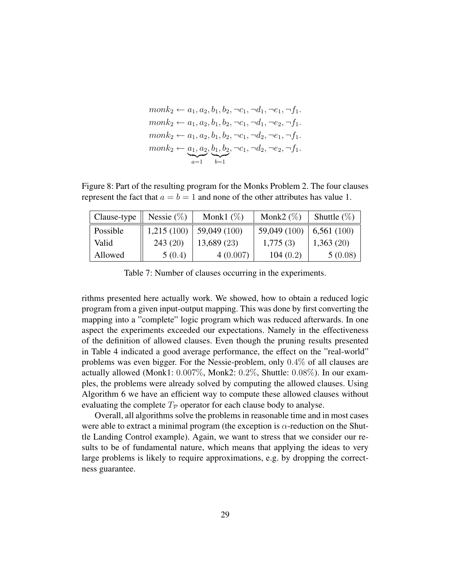$$
monk_2 \leftarrow a_1, a_2, b_1, b_2, \neg c_1, \neg d_1, \neg e_1, \neg f_1.
$$
  
\n
$$
monk_2 \leftarrow a_1, a_2, b_1, b_2, \neg c_1, \neg d_1, \neg e_2, \neg f_1.
$$
  
\n
$$
monk_2 \leftarrow a_1, a_2, b_1, b_2, \neg c_1, \neg d_2, \neg e_1, \neg f_1.
$$
  
\n
$$
monk_2 \leftarrow \underbrace{a_1, a_2}_{a=1}, \underbrace{b_1, b_2}_{b=1}, \neg c_1, \neg d_2, \neg e_2, \neg f_1.
$$

Figure 8: Part of the resulting program for the Monks Problem 2. The four clauses represent the fact that  $a = b = 1$  and none of the other attributes has value 1.

| Clause-type | Nessie $(\%)$ | Monk1 $(\%)$ | Monk2 $(\%)$ | Shuttle $(\%)$ |
|-------------|---------------|--------------|--------------|----------------|
| Possible    | 1,215(100)    | 59,049 (100) | 59,049 (100) | 6,561(100)     |
| Valid       | 243(20)       | 13,689 (23)  | 1,775(3)     | 1,363(20)      |
| Allowed     | 5(0.4)        | 4(0.007)     | 104(0.2)     | 5(0.08)        |

Table 7: Number of clauses occurring in the experiments.

rithms presented here actually work. We showed, how to obtain a reduced logic program from a given input-output mapping. This was done by first converting the mapping into a "complete" logic program which was reduced afterwards. In one aspect the experiments exceeded our expectations. Namely in the effectiveness of the definition of allowed clauses. Even though the pruning results presented in Table 4 indicated a good average performance, the effect on the "real-world" problems was even bigger. For the Nessie-problem, only 0.4% of all clauses are actually allowed (Monk1: 0.007%, Monk2: 0.2%, Shuttle: 0.08%). In our examples, the problems were already solved by computing the allowed clauses. Using Algorithm 6 we have an efficient way to compute these allowed clauses without evaluating the complete  $T_p$  operator for each clause body to analyse.

Overall, all algorithms solve the problems in reasonable time and in most cases were able to extract a minimal program (the exception is  $\alpha$ -reduction on the Shuttle Landing Control example). Again, we want to stress that we consider our results to be of fundamental nature, which means that applying the ideas to very large problems is likely to require approximations, e.g. by dropping the correctness guarantee.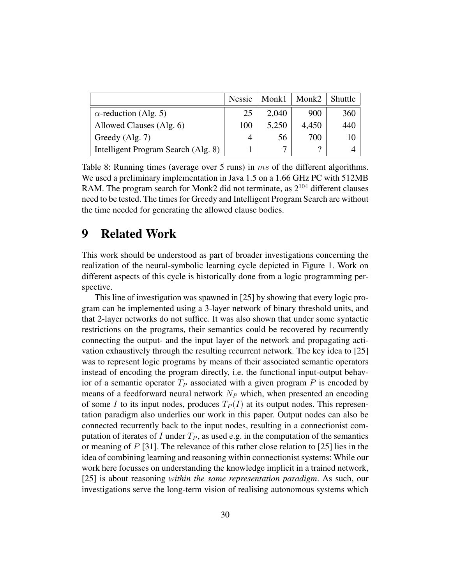|                                     | Nessie | Monk1 | Monk2 | Shuttle |
|-------------------------------------|--------|-------|-------|---------|
| $\alpha$ -reduction (Alg. 5)        | 25     | 2,040 | 900   | 360     |
| Allowed Clauses (Alg. 6)            | 100    | 5,250 | 4,450 | 440     |
| Greedy (Alg. 7)                     | 4      | 56    | 700   | 10      |
| Intelligent Program Search (Alg. 8) |        | ⇁     | റ     |         |

Table 8: Running times (average over 5 runs) in ms of the different algorithms. We used a preliminary implementation in Java 1.5 on a 1.66 GHz PC with 512MB RAM. The program search for Monk2 did not terminate, as  $2^{104}$  different clauses need to be tested. The times for Greedy and Intelligent Program Search are without the time needed for generating the allowed clause bodies.

### 9 Related Work

This work should be understood as part of broader investigations concerning the realization of the neural-symbolic learning cycle depicted in Figure 1. Work on different aspects of this cycle is historically done from a logic programming perspective.

This line of investigation was spawned in [25] by showing that every logic program can be implemented using a 3-layer network of binary threshold units, and that 2-layer networks do not suffice. It was also shown that under some syntactic restrictions on the programs, their semantics could be recovered by recurrently connecting the output- and the input layer of the network and propagating activation exhaustively through the resulting recurrent network. The key idea to [25] was to represent logic programs by means of their associated semantic operators instead of encoding the program directly, i.e. the functional input-output behavior of a semantic operator  $T_P$  associated with a given program P is encoded by means of a feedforward neural network  $N_P$  which, when presented an encoding of some I to its input nodes, produces  $T_P(I)$  at its output nodes. This representation paradigm also underlies our work in this paper. Output nodes can also be connected recurrently back to the input nodes, resulting in a connectionist computation of iterates of I under  $T_P$ , as used e.g. in the computation of the semantics or meaning of  $P$  [31]. The relevance of this rather close relation to [25] lies in the idea of combining learning and reasoning within connectionist systems: While our work here focusses on understanding the knowledge implicit in a trained network, [25] is about reasoning *within the same representation paradigm*. As such, our investigations serve the long-term vision of realising autonomous systems which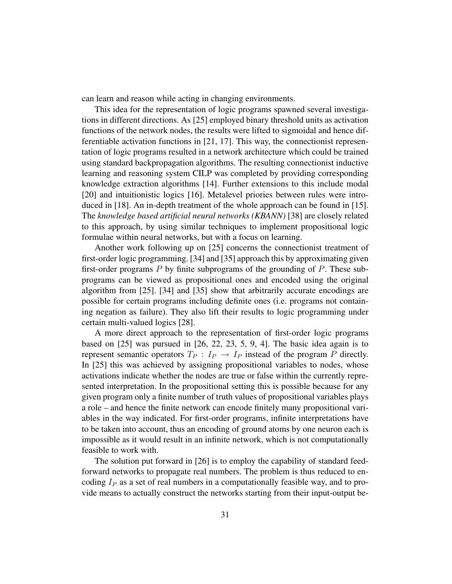can learn and reason while acting in changing environments.

This idea for the representation of logic programs spawned several investigations in different directions. As [25] employed binary threshold units as activation functions of the network nodes, the results were lifted to sigmoidal and hence differentiable activation functions in [21, 17]. This way, the connectionist representation of logic programs resulted in a network architecture which could be trained using standard backpropagation algorithms. The resulting connectionist inductive learning and reasoning system CILP was completed by providing corresponding knowledge extraction algorithms [14]. Further extensions to this include modal [20] and intuitionistic logics [16]. Metalevel priories between rules were introduced in [18]. An in-depth treatment of the whole approach can be found in [15]. The *knowledge based artificial neural networks (KBANN)* [38] are closely related to this approach, by using similar techniques to implement propositional logic formulae within neural networks, but with a focus on learning.

Another work following up on [25] concerns the connectionist treatment of first-order logic programming. [34] and [35] approach this by approximating given first-order programs  $P$  by finite subprograms of the grounding of  $P$ . These subprograms can be viewed as propositional ones and encoded using the original algorithm from [25]. [34] and [35] show that arbitrarily accurate encodings are possible for certain programs including definite ones (i.e. programs not containing negation as failure). They also lift their results to logic programming under certain multi-valued logics [28].

A more direct approach to the representation of first-order logic programs based on [25] was pursued in [26, 22, 23, 5, 9, 4]. The basic idea again is to represent semantic operators  $T_P$  :  $I_P \rightarrow I_P$  instead of the program P directly. In [25] this was achieved by assigning propositional variables to nodes, whose activations indicate whether the nodes are true or false within the currently represented interpretation. In the propositional setting this is possible because for any given program only a finite number of truth values of propositional variables plays a role – and hence the finite network can encode finitely many propositional variables in the way indicated. For first-order programs, infinite interpretations have to be taken into account, thus an encoding of ground atoms by one neuron each is impossible as it would result in an infinite network, which is not computationally feasible to work with.

The solution put forward in [26] is to employ the capability of standard feedforward networks to propagate real numbers. The problem is thus reduced to encoding  $I<sub>P</sub>$  as a set of real numbers in a computationally feasible way, and to provide means to actually construct the networks starting from their input-output be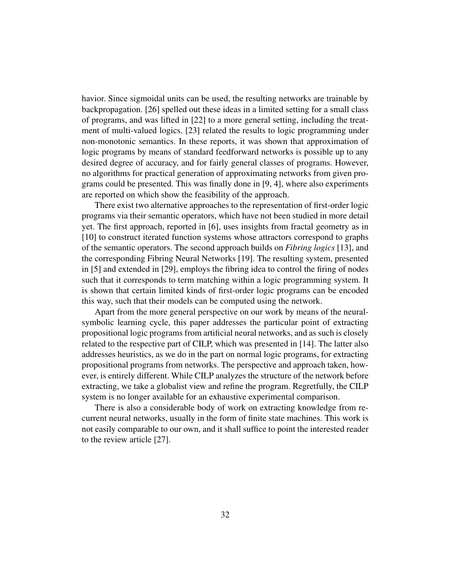havior. Since sigmoidal units can be used, the resulting networks are trainable by backpropagation. [26] spelled out these ideas in a limited setting for a small class of programs, and was lifted in [22] to a more general setting, including the treatment of multi-valued logics. [23] related the results to logic programming under non-monotonic semantics. In these reports, it was shown that approximation of logic programs by means of standard feedforward networks is possible up to any desired degree of accuracy, and for fairly general classes of programs. However, no algorithms for practical generation of approximating networks from given programs could be presented. This was finally done in [9, 4], where also experiments are reported on which show the feasibility of the approach.

There exist two alternative approaches to the representation of first-order logic programs via their semantic operators, which have not been studied in more detail yet. The first approach, reported in [6], uses insights from fractal geometry as in [10] to construct iterated function systems whose attractors correspond to graphs of the semantic operators. The second approach builds on *Fibring logics* [13], and the corresponding Fibring Neural Networks [19]. The resulting system, presented in [5] and extended in [29], employs the fibring idea to control the firing of nodes such that it corresponds to term matching within a logic programming system. It is shown that certain limited kinds of first-order logic programs can be encoded this way, such that their models can be computed using the network.

Apart from the more general perspective on our work by means of the neuralsymbolic learning cycle, this paper addresses the particular point of extracting propositional logic programs from artificial neural networks, and as such is closely related to the respective part of CILP, which was presented in [14]. The latter also addresses heuristics, as we do in the part on normal logic programs, for extracting propositional programs from networks. The perspective and approach taken, however, is entirely different. While CILP analyzes the structure of the network before extracting, we take a globalist view and refine the program. Regretfully, the CILP system is no longer available for an exhaustive experimental comparison.

There is also a considerable body of work on extracting knowledge from recurrent neural networks, usually in the form of finite state machines. This work is not easily comparable to our own, and it shall suffice to point the interested reader to the review article [27].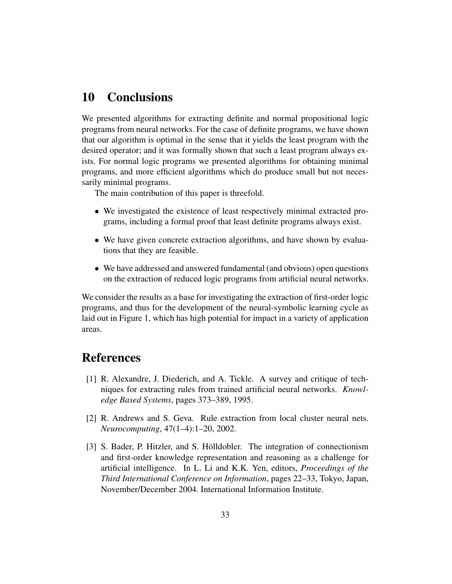# 10 Conclusions

We presented algorithms for extracting definite and normal propositional logic programs from neural networks. For the case of definite programs, we have shown that our algorithm is optimal in the sense that it yields the least program with the desired operator; and it was formally shown that such a least program always exists. For normal logic programs we presented algorithms for obtaining minimal programs, and more efficient algorithms which do produce small but not necessarily minimal programs.

The main contribution of this paper is threefold.

- We investigated the existence of least respectively minimal extracted programs, including a formal proof that least definite programs always exist.
- We have given concrete extraction algorithms, and have shown by evaluations that they are feasible.
- We have addressed and answered fundamental (and obvious) open questions on the extraction of reduced logic programs from artificial neural networks.

We consider the results as a base for investigating the extraction of first-order logic programs, and thus for the development of the neural-symbolic learning cycle as laid out in Figure 1, which has high potential for impact in a variety of application areas.

## References

- [1] R. Alexandre, J. Diederich, and A. Tickle. A survey and critique of techniques for extracting rules from trained artificial neural networks. *Knowledge Based Systems*, pages 373–389, 1995.
- [2] R. Andrews and S. Geva. Rule extraction from local cluster neural nets. *Neurocomputing*, 47(1–4):1–20, 2002.
- [3] S. Bader, P. Hitzler, and S. Holldobler. The integration of connectionism and first-order knowledge representation and reasoning as a challenge for artificial intelligence. In L. Li and K.K. Yen, editors, *Proceedings of the Third International Conference on Information*, pages 22–33, Tokyo, Japan, November/December 2004. International Information Institute.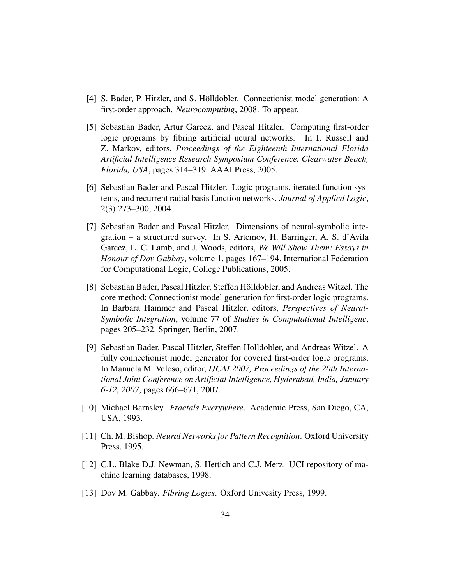- [4] S. Bader, P. Hitzler, and S. Hölldobler. Connectionist model generation: A first-order approach. *Neurocomputing*, 2008. To appear.
- [5] Sebastian Bader, Artur Garcez, and Pascal Hitzler. Computing first-order logic programs by fibring artificial neural networks. In I. Russell and Z. Markov, editors, *Proceedings of the Eighteenth International Florida Artificial Intelligence Research Symposium Conference, Clearwater Beach, Florida, USA*, pages 314–319. AAAI Press, 2005.
- [6] Sebastian Bader and Pascal Hitzler. Logic programs, iterated function systems, and recurrent radial basis function networks. *Journal of Applied Logic*, 2(3):273–300, 2004.
- [7] Sebastian Bader and Pascal Hitzler. Dimensions of neural-symbolic integration – a structured survey. In S. Artemov, H. Barringer, A. S. d'Avila Garcez, L. C. Lamb, and J. Woods, editors, *We Will Show Them: Essays in Honour of Dov Gabbay*, volume 1, pages 167–194. International Federation for Computational Logic, College Publications, 2005.
- [8] Sebastian Bader, Pascal Hitzler, Steffen Hölldobler, and Andreas Witzel. The core method: Connectionist model generation for first-order logic programs. In Barbara Hammer and Pascal Hitzler, editors, *Perspectives of Neural-Symbolic Integration*, volume 77 of *Studies in Computational Intelligenc*, pages 205–232. Springer, Berlin, 2007.
- [9] Sebastian Bader, Pascal Hitzler, Steffen Holldobler, and Andreas Witzel. A ¨ fully connectionist model generator for covered first-order logic programs. In Manuela M. Veloso, editor, *IJCAI 2007, Proceedings of the 20th International Joint Conference on Artificial Intelligence, Hyderabad, India, January 6-12, 2007*, pages 666–671, 2007.
- [10] Michael Barnsley. *Fractals Everywhere*. Academic Press, San Diego, CA, USA, 1993.
- [11] Ch. M. Bishop. *Neural Networks for Pattern Recognition*. Oxford University Press, 1995.
- [12] C.L. Blake D.J. Newman, S. Hettich and C.J. Merz. UCI repository of machine learning databases, 1998.
- [13] Dov M. Gabbay. *Fibring Logics*. Oxford Univesity Press, 1999.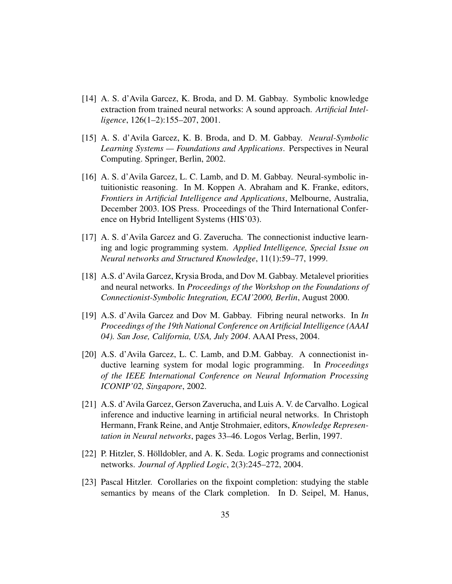- [14] A. S. d'Avila Garcez, K. Broda, and D. M. Gabbay. Symbolic knowledge extraction from trained neural networks: A sound approach. *Artificial Intelligence*, 126(1–2):155–207, 2001.
- [15] A. S. d'Avila Garcez, K. B. Broda, and D. M. Gabbay. *Neural-Symbolic Learning Systems — Foundations and Applications*. Perspectives in Neural Computing. Springer, Berlin, 2002.
- [16] A. S. d'Avila Garcez, L. C. Lamb, and D. M. Gabbay. Neural-symbolic intuitionistic reasoning. In M. Koppen A. Abraham and K. Franke, editors, *Frontiers in Artificial Intelligence and Applications*, Melbourne, Australia, December 2003. IOS Press. Proceedings of the Third International Conference on Hybrid Intelligent Systems (HIS'03).
- [17] A. S. d'Avila Garcez and G. Zaverucha. The connectionist inductive learning and logic programming system. *Applied Intelligence, Special Issue on Neural networks and Structured Knowledge*, 11(1):59–77, 1999.
- [18] A.S. d'Avila Garcez, Krysia Broda, and Dov M. Gabbay. Metalevel priorities and neural networks. In *Proceedings of the Workshop on the Foundations of Connectionist-Symbolic Integration, ECAI'2000, Berlin*, August 2000.
- [19] A.S. d'Avila Garcez and Dov M. Gabbay. Fibring neural networks. In *In Proceedings of the 19th National Conference on Artificial Intelligence (AAAI 04). San Jose, California, USA, July 2004*. AAAI Press, 2004.
- [20] A.S. d'Avila Garcez, L. C. Lamb, and D.M. Gabbay. A connectionist inductive learning system for modal logic programming. In *Proceedings of the IEEE International Conference on Neural Information Processing ICONIP'02, Singapore*, 2002.
- [21] A.S. d'Avila Garcez, Gerson Zaverucha, and Luis A. V. de Carvalho. Logical inference and inductive learning in artificial neural networks. In Christoph Hermann, Frank Reine, and Antje Strohmaier, editors, *Knowledge Representation in Neural networks*, pages 33–46. Logos Verlag, Berlin, 1997.
- [22] P. Hitzler, S. Hölldobler, and A. K. Seda. Logic programs and connectionist networks. *Journal of Applied Logic*, 2(3):245–272, 2004.
- [23] Pascal Hitzler. Corollaries on the fixpoint completion: studying the stable semantics by means of the Clark completion. In D. Seipel, M. Hanus,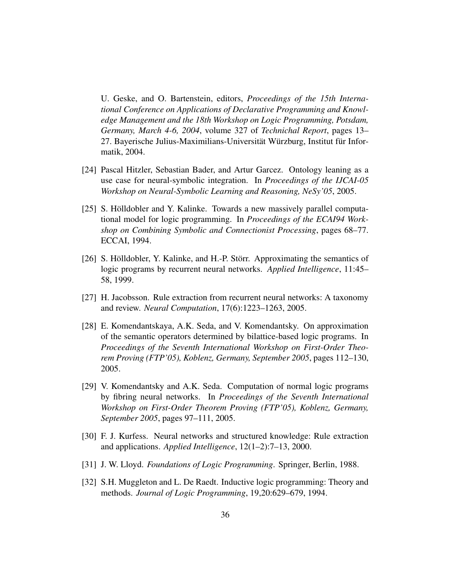U. Geske, and O. Bartenstein, editors, *Proceedings of the 15th International Conference on Applications of Declarative Programming and Knowledge Management and the 18th Workshop on Logic Programming, Potsdam, Germany, March 4-6, 2004*, volume 327 of *Technichal Report*, pages 13– 27. Bayerische Julius-Maximilians-Universität Würzburg, Institut für Informatik, 2004.

- [24] Pascal Hitzler, Sebastian Bader, and Artur Garcez. Ontology leaning as a use case for neural-symbolic integration. In *Proceedings of the IJCAI-05 Workshop on Neural-Symbolic Learning and Reasoning, NeSy'05*, 2005.
- [25] S. Hölldobler and Y. Kalinke. Towards a new massively parallel computational model for logic programming. In *Proceedings of the ECAI94 Workshop on Combining Symbolic and Connectionist Processing*, pages 68–77. ECCAI, 1994.
- [26] S. Hölldobler, Y. Kalinke, and H.-P. Störr. Approximating the semantics of logic programs by recurrent neural networks. *Applied Intelligence*, 11:45– 58, 1999.
- [27] H. Jacobsson. Rule extraction from recurrent neural networks: A taxonomy and review. *Neural Computation*, 17(6):1223–1263, 2005.
- [28] E. Komendantskaya, A.K. Seda, and V. Komendantsky. On approximation of the semantic operators determined by bilattice-based logic programs. In *Proceedings of the Seventh International Workshop on First-Order Theorem Proving (FTP'05), Koblenz, Germany, September 2005*, pages 112–130, 2005.
- [29] V. Komendantsky and A.K. Seda. Computation of normal logic programs by fibring neural networks. In *Proceedings of the Seventh International Workshop on First-Order Theorem Proving (FTP'05), Koblenz, Germany, September 2005*, pages 97–111, 2005.
- [30] F. J. Kurfess. Neural networks and structured knowledge: Rule extraction and applications. *Applied Intelligence*, 12(1–2):7–13, 2000.
- [31] J. W. Lloyd. *Foundations of Logic Programming*. Springer, Berlin, 1988.
- [32] S.H. Muggleton and L. De Raedt. Inductive logic programming: Theory and methods. *Journal of Logic Programming*, 19,20:629–679, 1994.